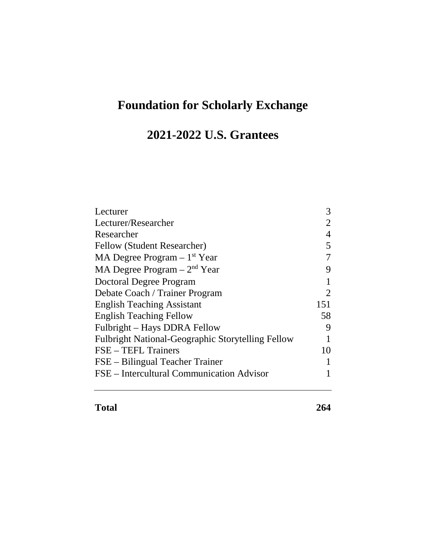## **Foundation for Scholarly Exchange**

## **2021-2022 U.S. Grantees**

| Lecturer                                                 | 3   |
|----------------------------------------------------------|-----|
| Lecturer/Researcher                                      |     |
| Researcher                                               | 4   |
| Fellow (Student Researcher)                              | 5   |
| MA Degree Program $-1st$ Year                            | 7   |
| MA Degree Program $-2nd$ Year                            | 9   |
| Doctoral Degree Program                                  | 1   |
| Debate Coach / Trainer Program                           | 2   |
| <b>English Teaching Assistant</b>                        | 151 |
| <b>English Teaching Fellow</b>                           | 58  |
| Fulbright – Hays DDRA Fellow                             | 9   |
| <b>Fulbright National-Geographic Storytelling Fellow</b> |     |
| FSE – TEFL Trainers                                      | 10  |
| FSE – Bilingual Teacher Trainer                          |     |
| FSE - Intercultural Communication Advisor                |     |
|                                                          |     |

**Total 264**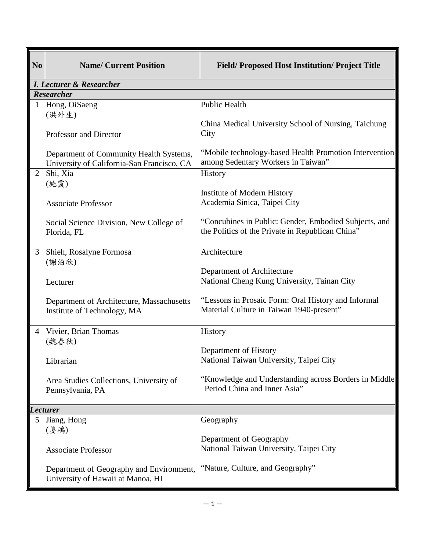| N <sub>0</sub> | <b>Name/ Current Position</b>                                                         | <b>Field/Proposed Host Institution/Project Title</b>                                                      |
|----------------|---------------------------------------------------------------------------------------|-----------------------------------------------------------------------------------------------------------|
|                | <b>I. Lecturer &amp; Researcher</b>                                                   |                                                                                                           |
|                | <b>Researcher</b>                                                                     |                                                                                                           |
| 1              | Hong, OiSaeng                                                                         | <b>Public Health</b>                                                                                      |
|                | (洪外生)                                                                                 |                                                                                                           |
|                | <b>Professor and Director</b>                                                         | China Medical University School of Nursing, Taichung<br>City                                              |
|                | Department of Community Health Systems,<br>University of California-San Francisco, CA | "Mobile technology-based Health Promotion Intervention<br>among Sedentary Workers in Taiwan"              |
| $\overline{2}$ | Shi, Xia<br>(施霞)                                                                      | History                                                                                                   |
|                |                                                                                       | Institute of Modern History                                                                               |
|                | <b>Associate Professor</b>                                                            | Academia Sinica, Taipei City                                                                              |
|                | Social Science Division, New College of<br>Florida, FL                                | "Concubines in Public: Gender, Embodied Subjects, and<br>the Politics of the Private in Republican China" |
| 3              | Shieh, Rosalyne Formosa<br>(謝泊欣)                                                      | Architecture                                                                                              |
|                | Lecturer                                                                              | Department of Architecture<br>National Cheng Kung University, Tainan City                                 |
|                | Department of Architecture, Massachusetts<br>Institute of Technology, MA              | "Lessons in Prosaic Form: Oral History and Informal<br>Material Culture in Taiwan 1940-present"           |
| $\overline{4}$ | Vivier, Brian Thomas                                                                  | History                                                                                                   |
|                | (魏春秋)<br>Librarian                                                                    | Department of History<br>National Taiwan University, Taipei City                                          |
|                | Area Studies Collections, University of<br>Pennsylvania, PA                           | "Knowledge and Understanding across Borders in Middle<br>Period China and Inner Asia"                     |
|                | <b>Lecturer</b>                                                                       |                                                                                                           |
| 5              | Jiang, Hong<br>(姜鴻)                                                                   | Geography                                                                                                 |
|                | <b>Associate Professor</b>                                                            | Department of Geography<br>National Taiwan University, Taipei City                                        |
|                | Department of Geography and Environment,<br>University of Hawaii at Manoa, HI         | "Nature, Culture, and Geography"                                                                          |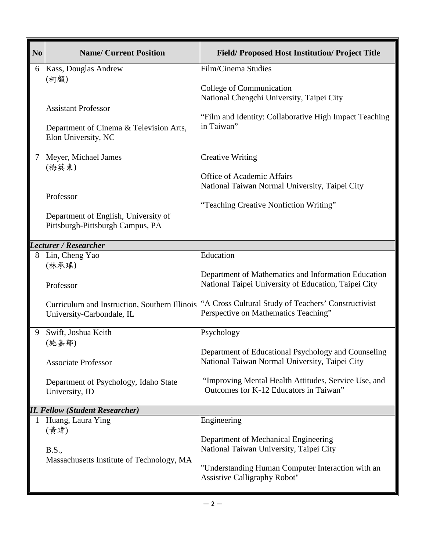| N <sub>0</sub> | <b>Name/ Current Position</b>                                                                                                | <b>Field/Proposed Host Institution/Project Title</b>                                                                                                                                                                  |
|----------------|------------------------------------------------------------------------------------------------------------------------------|-----------------------------------------------------------------------------------------------------------------------------------------------------------------------------------------------------------------------|
| 6              | Kass, Douglas Andrew<br>(柯顧)<br><b>Assistant Professor</b><br>Department of Cinema & Television Arts,<br>Elon University, NC | Film/Cinema Studies<br>College of Communication<br>National Chengchi University, Taipei City<br>"Film and Identity: Collaborative High Impact Teaching<br>in Taiwan"                                                  |
| $\tau$         | Meyer, Michael James<br>(梅英東)<br>Professor<br>Department of English, University of<br>Pittsburgh-Pittsburgh Campus, PA       | <b>Creative Writing</b><br>Office of Academic Affairs<br>National Taiwan Normal University, Taipei City<br>"Teaching Creative Nonfiction Writing"                                                                     |
|                | <b>Lecturer / Researcher</b>                                                                                                 |                                                                                                                                                                                                                       |
| 8              | Lin, Cheng Yao<br>(林承瑤)<br>Professor                                                                                         | Education<br>Department of Mathematics and Information Education<br>National Taipei University of Education, Taipei City                                                                                              |
|                | Curriculum and Instruction, Southern Illinois<br>University-Carbondale, IL                                                   | "A Cross Cultural Study of Teachers' Constructivist<br>Perspective on Mathematics Teaching"                                                                                                                           |
| 9              | Swift, Joshua Keith<br>(施嘉郁)<br><b>Associate Professor</b><br>Department of Psychology, Idaho State<br>University, ID        | Psychology<br>Department of Educational Psychology and Counseling<br>National Taiwan Normal University, Taipei City<br>"Improving Mental Health Attitudes, Service Use, and<br>Outcomes for K-12 Educators in Taiwan" |
|                | <b>II. Fellow (Student Researcher)</b>                                                                                       |                                                                                                                                                                                                                       |
|                | Huang, Laura Ying                                                                                                            | Engineering                                                                                                                                                                                                           |
|                | (黃瑋)<br><b>B.S.,</b><br>Massachusetts Institute of Technology, MA                                                            | Department of Mechanical Engineering<br>National Taiwan University, Taipei City<br>"Understanding Human Computer Interaction with an<br><b>Assistive Calligraphy Robot"</b>                                           |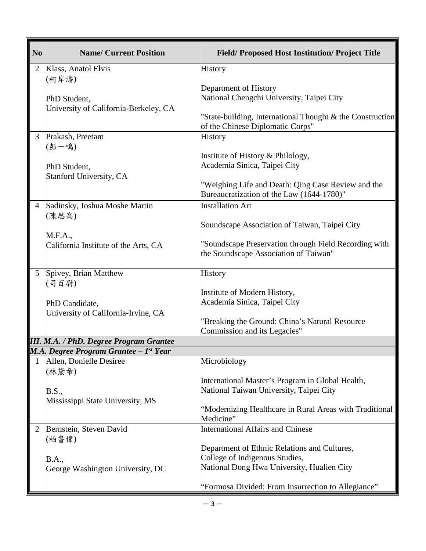| N <sub>0</sub> | <b>Name/ Current Position</b>                         | <b>Field/Proposed Host Institution/Project Title</b>                                            |
|----------------|-------------------------------------------------------|-------------------------------------------------------------------------------------------------|
| 2              | Klass, Anatol Elvis                                   | History                                                                                         |
|                | (柯岸濤)<br>PhD Student,                                 | Department of History<br>National Chengchi University, Taipei City                              |
|                | University of California-Berkeley, CA                 | "State-building, International Thought & the Construction<br>of the Chinese Diplomatic Corps"   |
| 3              | Prakash, Preetam<br>(彭一鳴)                             | History                                                                                         |
|                | PhD Student,                                          | Institute of History & Philology,<br>Academia Sinica, Taipei City                               |
|                | Stanford University, CA                               | "Weighing Life and Death: Qing Case Review and the<br>Bureaucratization of the Law (1644-1780)" |
| $\overline{4}$ | Sadinsky, Joshua Moshe Martin<br>(陳思高)                | <b>Installation Art</b>                                                                         |
|                | M.F.A.,                                               | Soundscape Association of Taiwan, Taipei City                                                   |
|                | California Institute of the Arts, CA                  | "Soundscape Preservation through Field Recording with<br>the Soundscape Association of Taiwan"  |
| 5              | Spivey, Brian Matthew<br>(司百尉)                        | History                                                                                         |
|                | PhD Candidate,<br>University of California-Irvine, CA | Institute of Modern History,<br>Academia Sinica, Taipei City                                    |
|                |                                                       | "Breaking the Ground: China's Natural Resource<br>Commission and its Legacies"                  |
|                | <b>III. M.A. / PhD. Degree Program Grantee</b>        |                                                                                                 |
|                | M.A. Degree Program Grantee - 1st Year                |                                                                                                 |
| 1              | Allen, Donielle Desiree<br>(林黛希)                      | Microbiology                                                                                    |
|                | <b>B.S.,</b>                                          | International Master's Program in Global Health,<br>National Taiwan University, Taipei City     |
|                | Mississippi State University, MS                      | "Modernizing Healthcare in Rural Areas with Traditional<br>Medicine"                            |
| 2              | Bernstein, Steven David<br>(柏書偉)                      | <b>International Affairs and Chinese</b>                                                        |
|                | <b>B.A.,</b>                                          | Department of Ethnic Relations and Cultures,<br>College of Indigenous Studies,                  |
|                | George Washington University, DC                      | National Dong Hwa University, Hualien City                                                      |
|                |                                                       | "Formosa Divided: From Insurrection to Allegiance"                                              |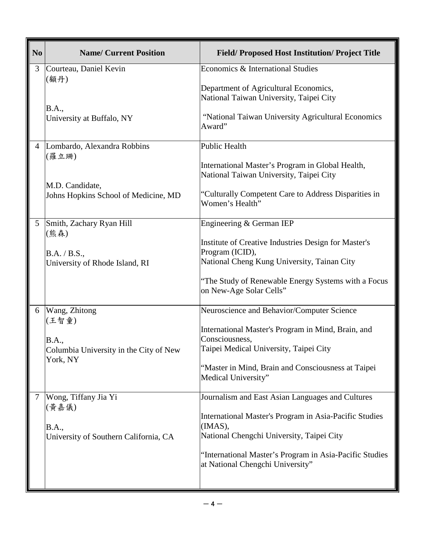| N <sub>0</sub> | <b>Name/ Current Position</b>                           | <b>Field/Proposed Host Institution/Project Title</b>                                                           |
|----------------|---------------------------------------------------------|----------------------------------------------------------------------------------------------------------------|
| 3              | Courteau, Daniel Kevin<br>(顧丹)                          | Economics & International Studies                                                                              |
|                |                                                         | Department of Agricultural Economics,<br>National Taiwan University, Taipei City                               |
|                | <b>B.A.,</b><br>University at Buffalo, NY               | "National Taiwan University Agricultural Economics<br>Award"                                                   |
| $\overline{4}$ | Lombardo, Alexandra Robbins<br>(羅立珊)                    | <b>Public Health</b>                                                                                           |
|                |                                                         | International Master's Program in Global Health,<br>National Taiwan University, Taipei City                    |
|                | M.D. Candidate,<br>Johns Hopkins School of Medicine, MD | "Culturally Competent Care to Address Disparities in<br>Women's Health"                                        |
| 5              | Smith, Zachary Ryan Hill<br>(熊森)                        | Engineering & German IEP                                                                                       |
|                | B.A. / B.S.,                                            | Institute of Creative Industries Design for Master's<br>Program (ICID),                                        |
|                | University of Rhode Island, RI                          | National Cheng Kung University, Tainan City                                                                    |
|                |                                                         | "The Study of Renewable Energy Systems with a Focus<br>on New-Age Solar Cells"                                 |
| 6              | Wang, Zhitong<br>(王智童)                                  | Neuroscience and Behavior/Computer Science                                                                     |
|                | B.A.,                                                   | International Master's Program in Mind, Brain, and<br>Consciousness,                                           |
|                | Columbia University in the City of New<br>York, NY      | Taipei Medical University, Taipei City                                                                         |
|                |                                                         | "Master in Mind, Brain and Consciousness at Taipei<br>Medical University"                                      |
| 7              | Wong, Tiffany Jia Yi<br>(黃嘉儀)                           | Journalism and East Asian Languages and Cultures                                                               |
|                | <b>B.A.</b> ,<br>University of Southern California, CA  | International Master's Program in Asia-Pacific Studies<br>(IMAS),<br>National Chengchi University, Taipei City |
|                |                                                         | "International Master's Program in Asia-Pacific Studies<br>at National Chengchi University"                    |
|                |                                                         |                                                                                                                |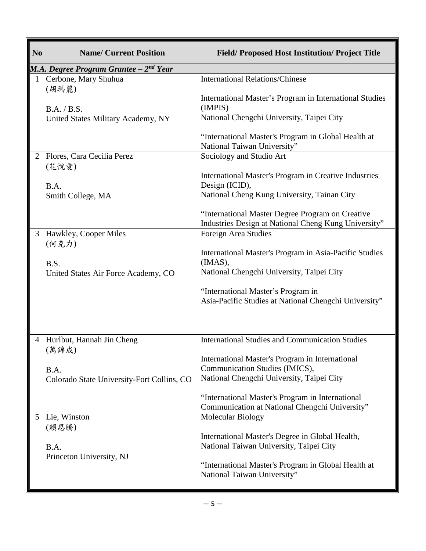| N <sub>o</sub> | <b>Name/ Current Position</b>              | <b>Field/Proposed Host Institution/Project Title</b>                                                     |
|----------------|--------------------------------------------|----------------------------------------------------------------------------------------------------------|
|                | M.A. Degree Program Grantee $-2^{nd}$ Year |                                                                                                          |
| 1              | Cerbone, Mary Shuhua<br>(胡瑪麗)              | <b>International Relations/Chinese</b>                                                                   |
|                | B.A. / B.S.                                | International Master's Program in International Studies<br>(IMPIS)                                       |
|                | United States Military Academy, NY         | National Chengchi University, Taipei City                                                                |
|                |                                            | "International Master's Program in Global Health at<br>National Taiwan University"                       |
| $\overline{2}$ | Flores, Cara Cecilia Perez<br>(花悅愛)        | Sociology and Studio Art                                                                                 |
|                | B.A.                                       | International Master's Program in Creative Industries<br>Design (ICID),                                  |
|                | Smith College, MA                          | National Cheng Kung University, Tainan City                                                              |
|                |                                            | "International Master Degree Program on Creative<br>Industries Design at National Cheng Kung University" |
| 3              | Hawkley, Cooper Miles<br>(何克力)             | Foreign Area Studies                                                                                     |
|                | B.S.                                       | International Master's Program in Asia-Pacific Studies<br>(IMAS),                                        |
|                | United States Air Force Academy, CO        | National Chengchi University, Taipei City                                                                |
|                |                                            | "International Master's Program in<br>Asia-Pacific Studies at National Chengchi University"              |
|                |                                            |                                                                                                          |
| $\overline{4}$ | Hurlbut, Hannah Jin Cheng<br>(萬錦成)         | <b>International Studies and Communication Studies</b>                                                   |
|                | B.A.                                       | International Master's Program in International<br>Communication Studies (IMICS),                        |
|                | Colorado State University-Fort Collins, CO | National Chengchi University, Taipei City                                                                |
|                |                                            | "International Master's Program in International<br>Communication at National Chengchi University"       |
| 5              | Lie, Winston<br>(賴思騰)                      | Molecular Biology                                                                                        |
|                | B.A.                                       | International Master's Degree in Global Health,<br>National Taiwan University, Taipei City               |
|                | Princeton University, NJ                   | "International Master's Program in Global Health at<br>National Taiwan University"                       |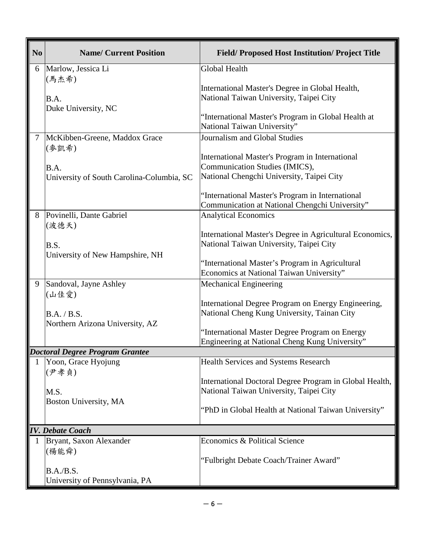| N <sub>0</sub> | <b>Name/ Current Position</b>                  | <b>Field/Proposed Host Institution/Project Title</b>                                               |
|----------------|------------------------------------------------|----------------------------------------------------------------------------------------------------|
| 6              | Marlow, Jessica Li                             | <b>Global Health</b>                                                                               |
|                | (馬杰希)                                          | International Master's Degree in Global Health,                                                    |
|                | B.A.                                           | National Taiwan University, Taipei City                                                            |
|                | Duke University, NC                            |                                                                                                    |
|                |                                                | ''International Master's Program in Global Health at<br>National Taiwan University"                |
| $\overline{7}$ | McKibben-Greene, Maddox Grace<br>(麥凱希)         | Journalism and Global Studies                                                                      |
|                |                                                | International Master's Program in International                                                    |
|                | B.A.                                           | Communication Studies (IMICS),                                                                     |
|                | University of South Carolina-Columbia, SC      | National Chengchi University, Taipei City                                                          |
|                |                                                | "International Master's Program in International                                                   |
|                |                                                | Communication at National Chengchi University"                                                     |
| 8              | Povinelli, Dante Gabriel                       | <b>Analytical Economics</b>                                                                        |
|                | (波德天)                                          | International Master's Degree in Agricultural Economics,                                           |
|                | B.S.                                           | National Taiwan University, Taipei City                                                            |
|                | University of New Hampshire, NH                |                                                                                                    |
|                |                                                | "International Master's Program in Agricultural                                                    |
|                |                                                | Economics at National Taiwan University"                                                           |
| 9              | Sandoval, Jayne Ashley<br>(山佳愛)                | <b>Mechanical Engineering</b>                                                                      |
|                |                                                | International Degree Program on Energy Engineering,<br>National Cheng Kung University, Tainan City |
|                | B.A. / B.S.<br>Northern Arizona University, AZ |                                                                                                    |
|                |                                                | "International Master Degree Program on Energy                                                     |
|                |                                                | Engineering at National Cheng Kung University"                                                     |
|                | <b>Doctoral Degree Program Grantee</b>         |                                                                                                    |
|                | Yoon, Grace Hyojung<br>(尹孝貞)                   | <b>Health Services and Systems Research</b>                                                        |
|                |                                                | International Doctoral Degree Program in Global Health,                                            |
|                | M.S.                                           | National Taiwan University, Taipei City                                                            |
|                | Boston University, MA                          |                                                                                                    |
|                |                                                | "PhD in Global Health at National Taiwan University"                                               |
|                | <b>IV.</b> Debate Coach                        |                                                                                                    |
|                | Bryant, Saxon Alexander                        | Economics & Political Science                                                                      |
|                | (楊能舜)                                          |                                                                                                    |
|                |                                                | "Fulbright Debate Coach/Trainer Award"                                                             |
|                | B.A./B.S.<br>University of Pennsylvania, PA    |                                                                                                    |
|                |                                                |                                                                                                    |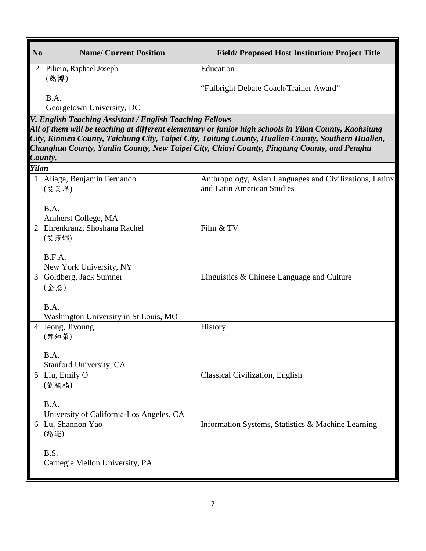| N <sub>0</sub> | <b>Name/ Current Position</b>                            | <b>Field/Proposed Host Institution/Project Title</b>                                                                                                                                                                                                                                                        |
|----------------|----------------------------------------------------------|-------------------------------------------------------------------------------------------------------------------------------------------------------------------------------------------------------------------------------------------------------------------------------------------------------------|
| 2              | Piliero, Raphael Joseph<br>(然博)                          | Education                                                                                                                                                                                                                                                                                                   |
|                | B.A.                                                     | "Fulbright Debate Coach/Trainer Award"                                                                                                                                                                                                                                                                      |
|                | Georgetown University, DC                                |                                                                                                                                                                                                                                                                                                             |
| County.        | V. English Teaching Assistant / English Teaching Fellows | All of them will be teaching at different elementary or junior high schools in Yilan County, Kaohsiung<br>City, Kinmen County, Taichung City, Taipei City, Taitung County, Hualien County, Southern Hualien,<br>Changhua County, Yunlin County, New Taipei City, Chiayi County, Pingtung County, and Penghu |
| <b>Yilan</b>   |                                                          |                                                                                                                                                                                                                                                                                                             |
|                | 1 Aliaga, Benjamin Fernando<br>(艾昊洋)                     | Anthropology, Asian Languages and Civilizations, Latinx<br>and Latin American Studies                                                                                                                                                                                                                       |
|                | B.A.<br>Amherst College, MA                              |                                                                                                                                                                                                                                                                                                             |
|                | 2 Ehrenkranz, Shoshana Rachel<br>(艾莎娜)                   | Film & TV                                                                                                                                                                                                                                                                                                   |
|                |                                                          |                                                                                                                                                                                                                                                                                                             |
|                | B.F.A.<br>New York University, NY                        |                                                                                                                                                                                                                                                                                                             |
| 3              | Goldberg, Jack Sumner                                    | Linguistics & Chinese Language and Culture                                                                                                                                                                                                                                                                  |
|                | (金杰)                                                     |                                                                                                                                                                                                                                                                                                             |
|                | B.A.                                                     |                                                                                                                                                                                                                                                                                                             |
|                | Washington University in St Louis, MO                    |                                                                                                                                                                                                                                                                                                             |
| 4              | Jeong, Jiyoung<br>(鄭知榮)                                  | History                                                                                                                                                                                                                                                                                                     |
|                |                                                          |                                                                                                                                                                                                                                                                                                             |
|                | B.A.<br>Stanford University, CA                          |                                                                                                                                                                                                                                                                                                             |
| 5              | Liu, Emily O                                             | Classical Civilization, English                                                                                                                                                                                                                                                                             |
|                | (劉楠楠)                                                    |                                                                                                                                                                                                                                                                                                             |
|                | B.A.                                                     |                                                                                                                                                                                                                                                                                                             |
|                | University of California-Los Angeles, CA                 |                                                                                                                                                                                                                                                                                                             |
|                | 6 Lu, Shannon Yao                                        | Information Systems, Statistics & Machine Learning                                                                                                                                                                                                                                                          |
|                | (路遥)                                                     |                                                                                                                                                                                                                                                                                                             |
|                | B.S.                                                     |                                                                                                                                                                                                                                                                                                             |
|                | Carnegie Mellon University, PA                           |                                                                                                                                                                                                                                                                                                             |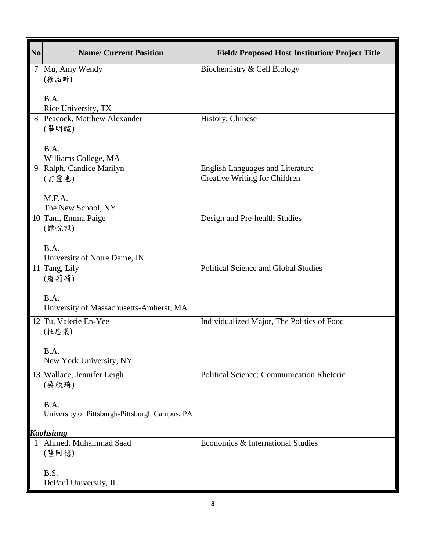| N <sub>0</sub> | <b>Name/ Current Position</b>                          | <b>Field/Proposed Host Institution/Project Title</b>                     |
|----------------|--------------------------------------------------------|--------------------------------------------------------------------------|
|                | Mu, Amy Wendy<br>(穆品昕)<br>B.A.                         | Biochemistry & Cell Biology                                              |
|                | Rice University, TX                                    |                                                                          |
| 8              | Peacock, Matthew Alexander<br>(畢明暄)                    | History, Chinese                                                         |
|                | B.A.                                                   |                                                                          |
|                | Williams College, MA                                   |                                                                          |
| 9              | Ralph, Candice Marilyn<br>(宙靈惠)                        | <b>English Languages and Literature</b><br>Creative Writing for Children |
|                | M.F.A.<br>The New School, NY                           |                                                                          |
|                | 10 Tam, Emma Paige<br>(譚悅珮)                            | Design and Pre-health Studies                                            |
|                | B.A.<br>University of Notre Dame, IN                   |                                                                          |
|                | 11 Tang, Lily<br>(唐莉莉)                                 | Political Science and Global Studies                                     |
|                | B.A.<br>University of Massachusetts-Amherst, MA        |                                                                          |
|                | 12 Tu, Valerie En-Yee<br>(杜恩儀)                         | Individualized Major, The Politics of Food                               |
|                | B.A.<br>New York University, NY                        |                                                                          |
| 13             | Wallace, Jennifer Leigh<br>(吳欣琦)                       | Political Science; Communication Rhetoric                                |
|                | B.A.<br>University of Pittsburgh-Pittsburgh Campus, PA |                                                                          |
|                | <b>Kaohsiung</b>                                       |                                                                          |
|                | Ahmed, Muhammad Saad<br>(薩阿德)                          | Economics & International Studies                                        |
|                | B.S.<br>DePaul University, IL                          |                                                                          |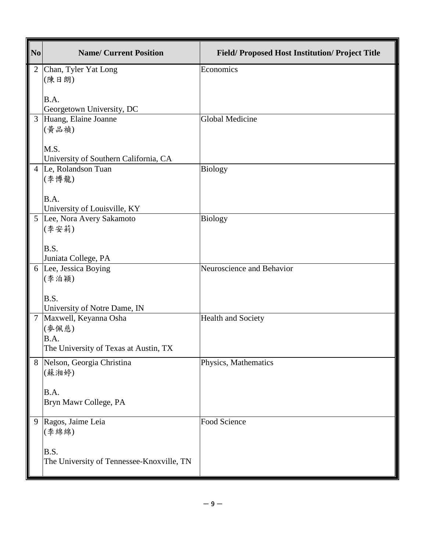| N <sub>0</sub> | <b>Name/ Current Position</b>                                                   | <b>Field/Proposed Host Institution/Project Title</b> |
|----------------|---------------------------------------------------------------------------------|------------------------------------------------------|
| $\overline{2}$ | Chan, Tyler Yat Long<br>(陳日朗)                                                   | Economics                                            |
|                | B.A.<br>Georgetown University, DC                                               |                                                      |
| 3              | Huang, Elaine Joanne<br>(黄品禎)                                                   | Global Medicine                                      |
|                | M.S.<br>University of Southern California, CA                                   |                                                      |
|                | 4 Le, Rolandson Tuan<br>(李博龍)                                                   | <b>Biology</b>                                       |
|                | B.A.<br>University of Louisville, KY                                            |                                                      |
|                | 5 Lee, Nora Avery Sakamoto<br>(李安莉)                                             | <b>Biology</b>                                       |
|                | B.S.<br>Juniata College, PA                                                     |                                                      |
|                | 6 Lee, Jessica Boying<br>(李泊穎)                                                  | Neuroscience and Behavior                            |
|                | B.S.<br>University of Notre Dame, IN                                            |                                                      |
| $\overline{7}$ | Maxwell, Keyanna Osha<br>(麥佩慈)<br>B.A.<br>The University of Texas at Austin, TX | <b>Health and Society</b>                            |
| 8              | Nelson, Georgia Christina<br>(蘇湘婷)                                              | Physics, Mathematics                                 |
|                | B.A.<br>Bryn Mawr College, PA                                                   |                                                      |
| 9              | Ragos, Jaime Leia<br>(李綿綿)                                                      | Food Science                                         |
|                | B.S.<br>The University of Tennessee-Knoxville, TN                               |                                                      |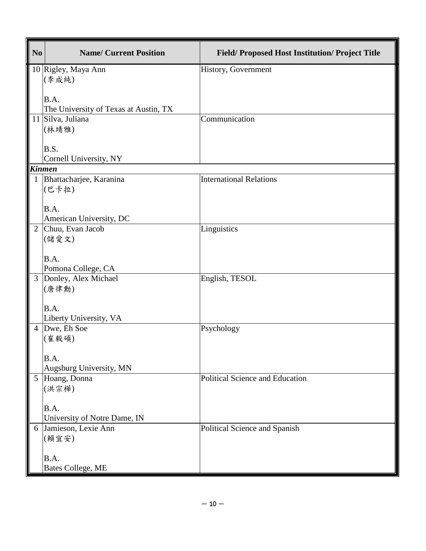| No             | <b>Name/ Current Position</b>         | <b>Field/Proposed Host Institution/Project Title</b> |
|----------------|---------------------------------------|------------------------------------------------------|
|                | 10 Rigley, Maya Ann                   | History, Government                                  |
|                | (李成純)                                 |                                                      |
|                | B.A.                                  |                                                      |
|                | The University of Texas at Austin, TX |                                                      |
|                | 11 Silva, Juliana                     | Communication                                        |
|                | (林靖雅)                                 |                                                      |
|                | B.S.                                  |                                                      |
|                | Cornell University, NY                |                                                      |
|                | <b>Kinmen</b>                         |                                                      |
|                | 1 Bhattacharjee, Karanina<br>(巴卡拉)    | <b>International Relations</b>                       |
|                |                                       |                                                      |
|                | B.A.                                  |                                                      |
|                | American University, DC               |                                                      |
| $\overline{2}$ | Chuu, Evan Jacob<br>(儲愛文)             | Linguistics                                          |
|                |                                       |                                                      |
|                | B.A.                                  |                                                      |
|                | Pomona College, CA                    |                                                      |
| $\overline{3}$ | Donley, Alex Michael                  | English, TESOL                                       |
|                | (唐律勳)                                 |                                                      |
|                | B.A.                                  |                                                      |
|                | Liberty University, VA                |                                                      |
| $\overline{4}$ | Dwe, Eh Soe                           | Psychology                                           |
|                | (崔毅碩)                                 |                                                      |
|                | B.A.                                  |                                                      |
|                | Augsburg University, MN               |                                                      |
|                | 5 Hoang, Donna                        | Political Science and Education                      |
|                | (洪宗樺)                                 |                                                      |
|                | B.A.                                  |                                                      |
|                | University of Notre Dame, IN          |                                                      |
|                | 6 Jamieson, Lexie Ann                 | Political Science and Spanish                        |
|                | (賴宜安)                                 |                                                      |
|                | B.A.                                  |                                                      |
|                | Bates College, ME                     |                                                      |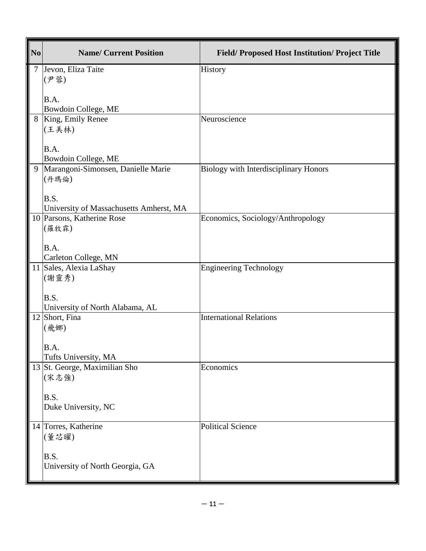| N <sub>0</sub> | <b>Name/ Current Position</b>                             | <b>Field/Proposed Host Institution/Project Title</b> |
|----------------|-----------------------------------------------------------|------------------------------------------------------|
| $\tau$         | Jevon, Eliza Taite                                        | History                                              |
|                | (尹蓉)                                                      |                                                      |
|                | B.A.                                                      |                                                      |
|                | Bowdoin College, ME                                       |                                                      |
|                | 8   King, Emily Renee<br>(王美林)                            | Neuroscience                                         |
|                |                                                           |                                                      |
|                | B.A.                                                      |                                                      |
| 9              | Bowdoin College, ME<br>Marangoni-Simonsen, Danielle Marie | <b>Biology with Interdisciplinary Honors</b>         |
|                | (丹瑪倫)                                                     |                                                      |
|                |                                                           |                                                      |
|                | B.S.<br>University of Massachusetts Amherst, MA           |                                                      |
|                | 10 Parsons, Katherine Rose                                | Economics, Sociology/Anthropology                    |
|                | (羅牧霖)                                                     |                                                      |
|                |                                                           |                                                      |
|                | B.A.<br>Carleton College, MN                              |                                                      |
|                | 11 Sales, Alexia LaShay                                   | <b>Engineering Technology</b>                        |
|                | (謝靈秀)                                                     |                                                      |
|                | B.S.                                                      |                                                      |
|                | University of North Alabama, AL                           |                                                      |
|                | 12 Short, Fina                                            | <b>International Relations</b>                       |
|                | (飛娜)                                                      |                                                      |
|                | B.A.                                                      |                                                      |
|                | Tufts University, MA                                      |                                                      |
|                | 13 St. George, Maximilian Sho                             | Economics                                            |
|                | (宋志強)                                                     |                                                      |
|                | B.S.                                                      |                                                      |
|                | Duke University, NC                                       |                                                      |
|                | 14 Torres, Katherine                                      | <b>Political Science</b>                             |
|                | (董芯曜)                                                     |                                                      |
|                | B.S.                                                      |                                                      |
|                | University of North Georgia, GA                           |                                                      |
|                |                                                           |                                                      |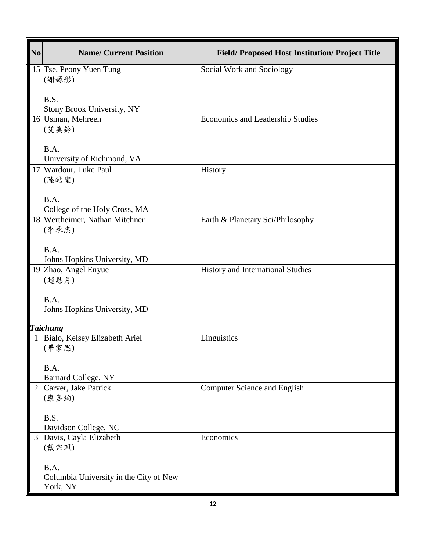| N <sub>0</sub> | <b>Name/ Current Position</b>                              | <b>Field/Proposed Host Institution/Project Title</b> |
|----------------|------------------------------------------------------------|------------------------------------------------------|
|                | 15 Tse, Peony Yuen Tung<br>(謝嫄彤)                           | Social Work and Sociology                            |
|                | B.S.<br>Stony Brook University, NY                         |                                                      |
|                | 16 Usman, Mehreen<br>(艾美鈴)                                 | Economics and Leadership Studies                     |
|                | B.A.<br>University of Richmond, VA                         |                                                      |
|                | 17 Wardour, Luke Paul<br>(陸皓聖)                             | History                                              |
|                | B.A.<br>College of the Holy Cross, MA                      |                                                      |
|                | 18 Wertheimer, Nathan Mitchner<br>(李承忠)                    | Earth & Planetary Sci/Philosophy                     |
|                | B.A.<br>Johns Hopkins University, MD                       |                                                      |
|                | 19 Zhao, Angel Enyue<br>(趙恩月)                              | History and International Studies                    |
|                | B.A.<br>Johns Hopkins University, MD                       |                                                      |
|                | <b>Taichung</b>                                            |                                                      |
|                | Bialo, Kelsey Elizabeth Ariel<br>(畢家思)                     | Linguistics                                          |
|                | B.A.<br><b>Barnard College, NY</b>                         |                                                      |
| $\overline{2}$ | Carver, Jake Patrick<br>(康嘉鈞)                              | <b>Computer Science and English</b>                  |
|                | B.S.<br>Davidson College, NC                               |                                                      |
| $\mathfrak{Z}$ | Davis, Cayla Elizabeth<br>(戴宗珮)                            | Economics                                            |
|                | B.A.<br>Columbia University in the City of New<br>York, NY |                                                      |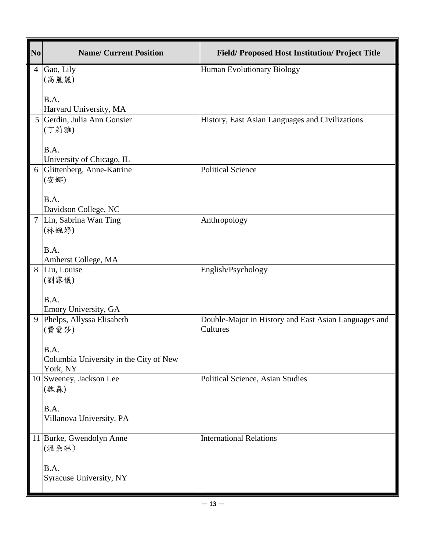| $\overline{\text{No}}$ | <b>Name/ Current Position</b>                                                                   | <b>Field/Proposed Host Institution/Project Title</b>             |
|------------------------|-------------------------------------------------------------------------------------------------|------------------------------------------------------------------|
| 4                      | Gao, Lily<br>(高麗麗)<br>B.A.                                                                      | <b>Human Evolutionary Biology</b>                                |
| 5                      | Harvard University, MA<br>Gerdin, Julia Ann Gonsier<br>(丁莉雅)<br>B.A.                            | History, East Asian Languages and Civilizations                  |
|                        | University of Chicago, IL                                                                       |                                                                  |
| 6                      | Glittenberg, Anne-Katrine<br>(安娜)<br>B.A.                                                       | <b>Political Science</b>                                         |
|                        | Davidson College, NC                                                                            |                                                                  |
| $\overline{7}$         | Lin, Sabrina Wan Ting<br>(林婉婷)                                                                  | Anthropology                                                     |
|                        | B.A.<br>Amherst College, MA                                                                     |                                                                  |
| 8                      | Liu, Louise                                                                                     | English/Psychology                                               |
|                        | (劉露儀)<br>B.A.<br>Emory University, GA                                                           |                                                                  |
| 9                      | Phelps, Allyssa Elisabeth<br>(費愛莎)<br>B.A<br>Columbia University in the City of New<br>York, NY | Double-Major in History and East Asian Languages and<br>Cultures |
|                        | 10 Sweeney, Jackson Lee<br>(魏森)<br>B.A.<br>Villanova University, PA                             | Political Science, Asian Studies                                 |
|                        |                                                                                                 |                                                                  |
| 11                     | Burke, Gwendolyn Anne<br>(溫朵琳)                                                                  | <b>International Relations</b>                                   |
|                        | B.A.<br>Syracuse University, NY                                                                 |                                                                  |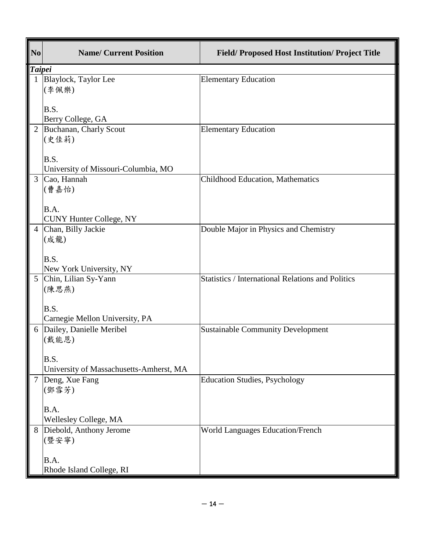| N <sub>0</sub> | <b>Name/ Current Position</b>                              | <b>Field/Proposed Host Institution/Project Title</b>     |
|----------------|------------------------------------------------------------|----------------------------------------------------------|
| <b>Taipei</b>  |                                                            |                                                          |
| $\mathbf{1}$   | Blaylock, Taylor Lee<br>(李佩樂)<br>B.S.<br>Berry College, GA | <b>Elementary Education</b>                              |
|                | 2 Buchanan, Charly Scout                                   | <b>Elementary Education</b>                              |
|                | (史佳莉)                                                      |                                                          |
|                | B.S.                                                       |                                                          |
|                | University of Missouri-Columbia, MO                        |                                                          |
| $\overline{3}$ | Cao, Hannah<br>(曹嘉怡)                                       | <b>Childhood Education, Mathematics</b>                  |
|                | B.A.                                                       |                                                          |
|                | <b>CUNY Hunter College, NY</b>                             |                                                          |
|                | 4 Chan, Billy Jackie<br>(成龍)                               | Double Major in Physics and Chemistry                    |
|                | B.S.                                                       |                                                          |
|                | New York University, NY                                    |                                                          |
| 5 <sup>5</sup> | Chin, Lilian Sy-Yann<br>(陳思燕)                              | <b>Statistics / International Relations and Politics</b> |
|                | B.S.                                                       |                                                          |
|                | Carnegie Mellon University, PA                             |                                                          |
|                | 6 Dailey, Danielle Meribel<br>(戴能恩)                        | <b>Sustainable Community Development</b>                 |
|                | B.S.                                                       |                                                          |
|                | University of Massachusetts-Amherst, MA                    |                                                          |
|                | 7 Deng, Xue Fang<br>(鄧雪芳)                                  | <b>Education Studies, Psychology</b>                     |
|                |                                                            |                                                          |
|                | B.A.<br>Wellesley College, MA                              |                                                          |
| 8              | Diebold, Anthony Jerome                                    | <b>World Languages Education/French</b>                  |
|                | (暨安寧)                                                      |                                                          |
|                | B.A.                                                       |                                                          |
|                | Rhode Island College, RI                                   |                                                          |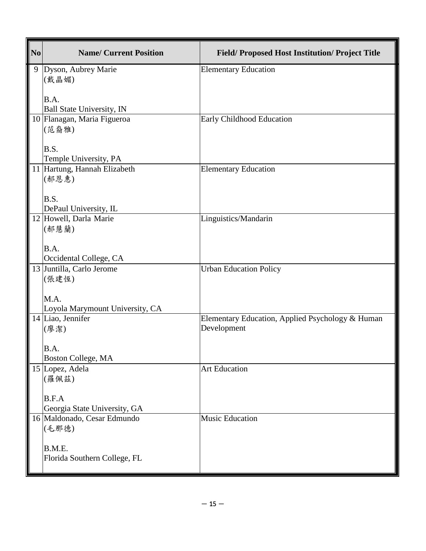| N <sub>0</sub> | <b>Name/ Current Position</b>                            | <b>Field/Proposed Host Institution/Project Title</b> |
|----------------|----------------------------------------------------------|------------------------------------------------------|
|                | 9 Dyson, Aubrey Marie                                    | <b>Elementary Education</b>                          |
|                | (戴晶媚)                                                    |                                                      |
|                | B.A.                                                     |                                                      |
|                | Ball State University, IN<br>10 Flanagan, Maria Figueroa | <b>Early Childhood Education</b>                     |
|                | (范裔雅)                                                    |                                                      |
|                |                                                          |                                                      |
|                | B.S.                                                     |                                                      |
|                | Temple University, PA<br>11 Hartung, Hannah Elizabeth    | <b>Elementary Education</b>                          |
|                | (郝恩惠)                                                    |                                                      |
|                |                                                          |                                                      |
|                | B.S.                                                     |                                                      |
|                | DePaul University, IL<br>12 Howell, Darla Marie          | Linguistics/Mandarin                                 |
|                | (郝慧蘭)                                                    |                                                      |
|                |                                                          |                                                      |
|                | B.A.<br>Occidental College, CA                           |                                                      |
|                | 13 Juntilla, Carlo Jerome                                | <b>Urban Education Policy</b>                        |
|                | (張建恆)                                                    |                                                      |
|                |                                                          |                                                      |
|                | M.A.<br>Loyola Marymount University, CA                  |                                                      |
|                | 14 Liao, Jennifer                                        | Elementary Education, Applied Psychology & Human     |
|                | (廖潔)                                                     | Development                                          |
|                | B.A                                                      |                                                      |
|                | Boston College, MA                                       |                                                      |
|                | 15 Lopez, Adela                                          | <b>Art Education</b>                                 |
|                | (羅佩茲)                                                    |                                                      |
|                | B.F.A                                                    |                                                      |
|                | Georgia State University, GA                             |                                                      |
|                | 16 Maldonado, Cesar Edmundo                              | <b>Music Education</b>                               |
|                | (毛那德)                                                    |                                                      |
|                | B.M.E.                                                   |                                                      |
|                | Florida Southern College, FL                             |                                                      |
|                |                                                          |                                                      |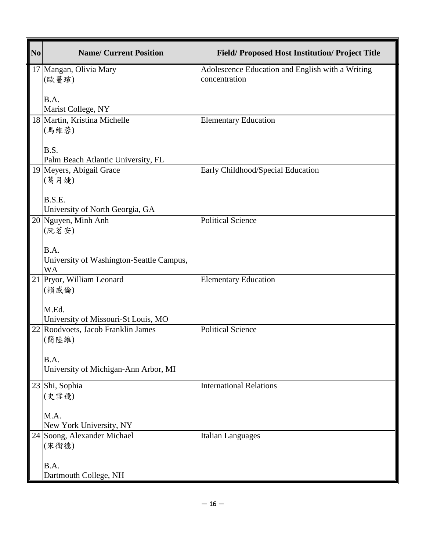| N <sub>0</sub> | <b>Name/ Current Position</b>            | <b>Field/Proposed Host Institution/Project Title</b>              |
|----------------|------------------------------------------|-------------------------------------------------------------------|
|                | 17 Mangan, Olivia Mary<br>(歐蔓瑄)          | Adolescence Education and English with a Writing<br>concentration |
|                |                                          |                                                                   |
|                | B.A.<br>Marist College, NY               |                                                                   |
|                | 18 Martin, Kristina Michelle             | <b>Elementary Education</b>                                       |
|                | (馬維蓉)                                    |                                                                   |
|                | B.S.                                     |                                                                   |
|                | Palm Beach Atlantic University, FL       |                                                                   |
|                | 19 Meyers, Abigail Grace<br>(葛月婕)        | Early Childhood/Special Education                                 |
|                |                                          |                                                                   |
|                | B.S.E.                                   |                                                                   |
|                | University of North Georgia, GA          |                                                                   |
|                | 20 Nguyen, Minh Anh                      | <b>Political Science</b>                                          |
|                | (阮茗安)                                    |                                                                   |
|                | B.A.                                     |                                                                   |
|                | University of Washington-Seattle Campus, |                                                                   |
|                | WA                                       |                                                                   |
|                | 21 Pryor, William Leonard                | <b>Elementary Education</b>                                       |
|                | (賴威倫)                                    |                                                                   |
|                | M.Ed.                                    |                                                                   |
|                | University of Missouri-St Louis, MO      |                                                                   |
|                | 22 Roodvoets, Jacob Franklin James       | <b>Political Science</b>                                          |
|                | (簡陸維)                                    |                                                                   |
|                | B.A.                                     |                                                                   |
|                | University of Michigan-Ann Arbor, MI     |                                                                   |
|                | 23 Shi, Sophia                           | <b>International Relations</b>                                    |
|                | (史雪飛)                                    |                                                                   |
|                | M.A.                                     |                                                                   |
|                | New York University, NY                  |                                                                   |
|                | 24 Soong, Alexander Michael              | <b>Italian Languages</b>                                          |
|                | (宋衛德)                                    |                                                                   |
|                | B.A.                                     |                                                                   |
|                | Dartmouth College, NH                    |                                                                   |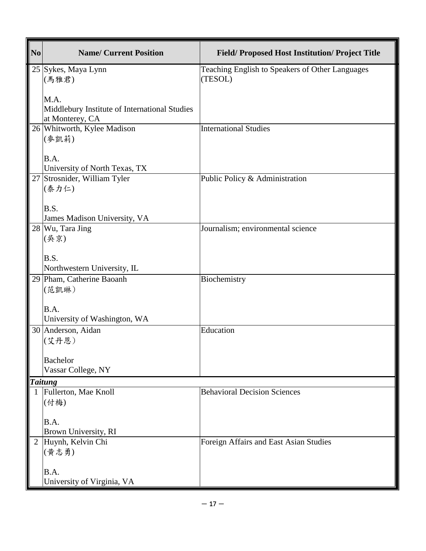| N <sub>0</sub> | <b>Name/ Current Position</b>                                    | <b>Field/Proposed Host Institution/Project Title</b>       |
|----------------|------------------------------------------------------------------|------------------------------------------------------------|
|                | 25 Sykes, Maya Lynn<br>(馬雅君)                                     | Teaching English to Speakers of Other Languages<br>(TESOL) |
|                |                                                                  |                                                            |
|                | M.A.                                                             |                                                            |
|                | Middlebury Institute of International Studies<br>at Monterey, CA |                                                            |
|                | 26 Whitworth, Kylee Madison                                      | <b>International Studies</b>                               |
|                | (麥凱莉)                                                            |                                                            |
|                | B.A.                                                             |                                                            |
|                | University of North Texas, TX                                    |                                                            |
|                | 27 Strosnider, William Tyler                                     | Public Policy & Administration                             |
|                | (泰力仁)                                                            |                                                            |
|                | B.S.                                                             |                                                            |
|                | James Madison University, VA                                     |                                                            |
|                | 28 Wu, Tara Jing<br>(吳京)                                         | Journalism; environmental science                          |
|                |                                                                  |                                                            |
|                | B.S.                                                             |                                                            |
|                | Northwestern University, IL                                      |                                                            |
|                | 29 Pham, Catherine Baoanh<br>(范凱琳)                               | Biochemistry                                               |
|                |                                                                  |                                                            |
|                | B.A.                                                             |                                                            |
|                | University of Washington, WA<br>30 Anderson, Aidan               | Education                                                  |
|                | (艾丹恩)                                                            |                                                            |
|                |                                                                  |                                                            |
|                | <b>Bachelor</b><br>Vassar College, NY                            |                                                            |
|                | <b>Taitung</b>                                                   |                                                            |
|                | 1 Fullerton, Mae Knoll                                           | <b>Behavioral Decision Sciences</b>                        |
|                | (付梅)                                                             |                                                            |
|                | B.A.                                                             |                                                            |
|                | Brown University, RI                                             |                                                            |
|                | 2 Huynh, Kelvin Chi                                              | Foreign Affairs and East Asian Studies                     |
|                | (黄志勇)                                                            |                                                            |
|                | B.A.                                                             |                                                            |
|                | University of Virginia, VA                                       |                                                            |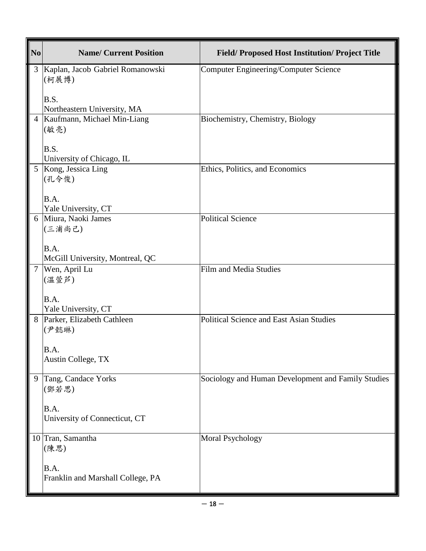| No             | <b>Name/ Current Position</b>                     | <b>Field/Proposed Host Institution/Project Title</b> |
|----------------|---------------------------------------------------|------------------------------------------------------|
| 3              | Kaplan, Jacob Gabriel Romanowski<br>(柯展博)<br>B.S. | <b>Computer Engineering/Computer Science</b>         |
|                | Northeastern University, MA                       |                                                      |
| $\overline{4}$ | Kaufmann, Michael Min-Liang<br>(敏亮)               | Biochemistry, Chemistry, Biology                     |
|                | <b>B.S.</b>                                       |                                                      |
| 5              | University of Chicago, IL<br>Kong, Jessica Ling   | Ethics, Politics, and Economics                      |
|                | (孔令俊)                                             |                                                      |
|                | B.A.<br>Yale University, CT                       |                                                      |
| 6              | Miura, Naoki James                                | <b>Political Science</b>                             |
|                | (三浦尚己)                                            |                                                      |
|                | B.A.<br>McGill University, Montreal, QC           |                                                      |
| 7              | Wen, April Lu<br>(溫萱芦)                            | <b>Film and Media Studies</b>                        |
|                | B.A.<br>Yale University, CT                       |                                                      |
| 8              | Parker, Elizabeth Cathleen                        | <b>Political Science and East Asian Studies</b>      |
|                | (尹懿琳)                                             |                                                      |
|                |                                                   |                                                      |
|                | B.A.<br>Austin College, TX                        |                                                      |
|                |                                                   |                                                      |
| 9              | Tang, Candace Yorks                               | Sociology and Human Development and Family Studies   |
|                | (鄧若思)                                             |                                                      |
|                | B.A.                                              |                                                      |
|                | University of Connecticut, CT                     |                                                      |
| 10             | Tran, Samantha                                    | <b>Moral Psychology</b>                              |
|                | (陳思)                                              |                                                      |
|                | B.A.                                              |                                                      |
|                | Franklin and Marshall College, PA                 |                                                      |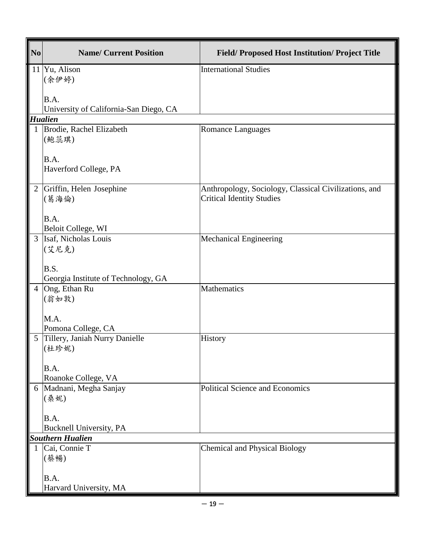| N <sub>0</sub> | <b>Name/ Current Position</b>          | <b>Field/Proposed Host Institution/Project Title</b>                                      |
|----------------|----------------------------------------|-------------------------------------------------------------------------------------------|
|                | 11 Yu, Alison                          | <b>International Studies</b>                                                              |
|                | (余伊婷)                                  |                                                                                           |
|                | B.A.                                   |                                                                                           |
|                | University of California-San Diego, CA |                                                                                           |
|                | <b>Hualien</b>                         |                                                                                           |
| $\mathbf{1}$   | Brodie, Rachel Elizabeth<br>(鲍蕊琪)      | <b>Romance Languages</b>                                                                  |
|                | B.A.                                   |                                                                                           |
|                | Haverford College, PA                  |                                                                                           |
| $\overline{2}$ | Griffin, Helen Josephine<br>(葛海倫)      | Anthropology, Sociology, Classical Civilizations, and<br><b>Critical Identity Studies</b> |
|                |                                        |                                                                                           |
|                | B.A.                                   |                                                                                           |
|                | Beloit College, WI                     |                                                                                           |
|                | 3 Isaf, Nicholas Louis                 | Mechanical Engineering                                                                    |
|                | (艾尼克)                                  |                                                                                           |
|                | B.S.                                   |                                                                                           |
|                | Georgia Institute of Technology, GA    |                                                                                           |
|                | 4 Ong, Ethan Ru                        | Mathematics                                                                               |
|                | (翁如敦)                                  |                                                                                           |
|                | M.A.                                   |                                                                                           |
|                | Pomona College, CA                     |                                                                                           |
|                | 5 Tillery, Janiah Nurry Danielle       | History                                                                                   |
|                | (杜珍妮)                                  |                                                                                           |
|                | B.A.                                   |                                                                                           |
|                | Roanoke College, VA                    |                                                                                           |
|                | 6   Madnani, Megha Sanjay              | <b>Political Science and Economics</b>                                                    |
|                | (桑妮)                                   |                                                                                           |
|                |                                        |                                                                                           |
|                | B.A.<br>Bucknell University, PA        |                                                                                           |
|                | <b>Southern Hualien</b>                |                                                                                           |
| 1              | Cai, Connie T                          | <b>Chemical and Physical Biology</b>                                                      |
|                | (蔡暢)                                   |                                                                                           |
|                |                                        |                                                                                           |
|                | B.A.                                   |                                                                                           |
|                | Harvard University, MA                 |                                                                                           |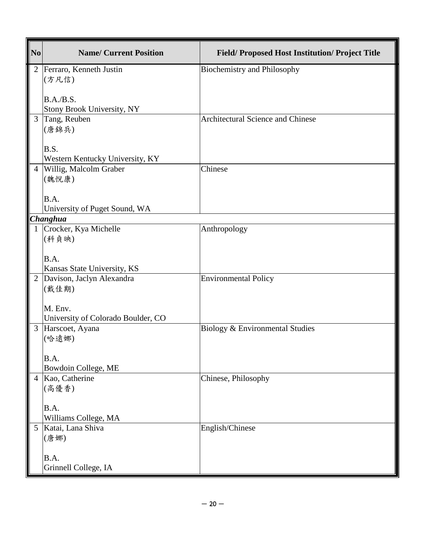| N <sub>0</sub> | <b>Name/ Current Position</b>             | <b>Field/Proposed Host Institution/Project Title</b> |
|----------------|-------------------------------------------|------------------------------------------------------|
| 2              | Ferraro, Kenneth Justin                   | <b>Biochemistry and Philosophy</b>                   |
|                | (方凡信)                                     |                                                      |
|                | B.A./B.S.                                 |                                                      |
|                | Stony Brook University, NY                |                                                      |
| 3              | Tang, Reuben                              | <b>Architectural Science and Chinese</b>             |
|                | (唐錦兵)                                     |                                                      |
|                | B.S.                                      |                                                      |
|                | Western Kentucky University, KY           |                                                      |
| $\overline{4}$ | Willig, Malcolm Graber                    | Chinese                                              |
|                | (魏悅康)                                     |                                                      |
|                | B.A.                                      |                                                      |
|                | University of Puget Sound, WA             |                                                      |
|                | Changhua                                  |                                                      |
|                | Crocker, Kya Michelle                     | Anthropology                                         |
|                | (科貞映)                                     |                                                      |
|                | B.A.                                      |                                                      |
|                | Kansas State University, KS               |                                                      |
|                | 2 Davison, Jaclyn Alexandra               | <b>Environmental Policy</b>                          |
|                | (戴佳期)                                     |                                                      |
|                | M. Env.                                   |                                                      |
|                | University of Colorado Boulder, CO        |                                                      |
| 3              | Harscoet, Ayana                           | Biology & Environmental Studies                      |
|                | (哈遠娜)                                     |                                                      |
|                |                                           |                                                      |
|                | B.A.<br>Bowdoin College, ME               |                                                      |
|                | 4 Kao, Catherine                          | Chinese, Philosophy                                  |
|                | (高優香)                                     |                                                      |
|                |                                           |                                                      |
|                | B.A.                                      |                                                      |
| $\mathfrak{S}$ | Williams College, MA<br>Katai, Lana Shiva | English/Chinese                                      |
|                | (唐娜)                                      |                                                      |
|                |                                           |                                                      |
|                | B.A.                                      |                                                      |
|                | Grinnell College, IA                      |                                                      |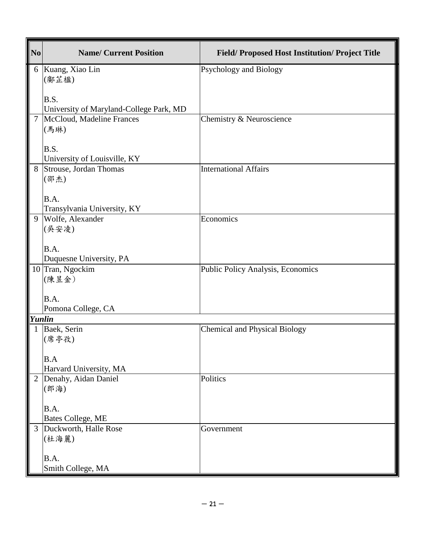| N <sub>0</sub> | <b>Name/ Current Position</b>                   | <b>Field/Proposed Host Institution/Project Title</b> |
|----------------|-------------------------------------------------|------------------------------------------------------|
| 6              | Kuang, Xiao Lin                                 | Psychology and Biology                               |
|                | (鄺芷楹)                                           |                                                      |
|                | B.S.                                            |                                                      |
|                | University of Maryland-College Park, MD         |                                                      |
| $\overline{7}$ | McCloud, Madeline Frances                       | Chemistry & Neuroscience                             |
|                | (馬琳)                                            |                                                      |
|                |                                                 |                                                      |
|                | B.S.<br>University of Louisville, KY            |                                                      |
| 8              | Strouse, Jordan Thomas                          | <b>International Affairs</b>                         |
|                | (邵杰)                                            |                                                      |
|                |                                                 |                                                      |
|                | B.A.                                            |                                                      |
| 9              | Transylvania University, KY<br>Wolfe, Alexander | Economics                                            |
|                | (吳安凌)                                           |                                                      |
|                |                                                 |                                                      |
|                | B.A.                                            |                                                      |
|                | Duquesne University, PA                         |                                                      |
|                | 10 Tran, Ngockim                                | Public Policy Analysis, Economics                    |
|                | (陳昱金)                                           |                                                      |
|                | B.A.                                            |                                                      |
|                | Pomona College, CA                              |                                                      |
| Yunlin         |                                                 |                                                      |
|                | Baek, Serin                                     | <b>Chemical and Physical Biology</b>                 |
|                | (席亭孜)                                           |                                                      |
|                | B.A                                             |                                                      |
|                | Harvard University, MA                          |                                                      |
| $\overline{2}$ | Denahy, Aidan Daniel                            | Politics                                             |
|                | (郎海)                                            |                                                      |
|                | B.A.                                            |                                                      |
|                | Bates College, ME                               |                                                      |
| $\overline{3}$ | Duckworth, Halle Rose                           | Government                                           |
|                | (杜海麗)                                           |                                                      |
|                |                                                 |                                                      |
|                | B.A.<br>Smith College, MA                       |                                                      |
|                |                                                 |                                                      |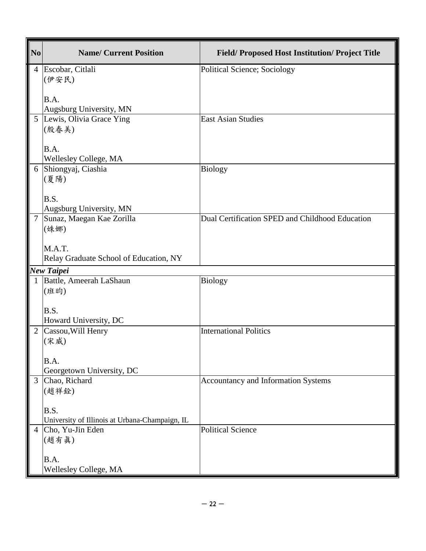| $\vert$ No     | <b>Name/ Current Position</b>                  | <b>Field/Proposed Host Institution/Project Title</b> |
|----------------|------------------------------------------------|------------------------------------------------------|
| $\overline{4}$ | Escobar, Citlali                               | Political Science; Sociology                         |
|                | (伊安民)                                          |                                                      |
|                | B.A.                                           |                                                      |
|                | Augsburg University, MN                        |                                                      |
| 5              | Lewis, Olivia Grace Ying                       | <b>East Asian Studies</b>                            |
|                | (殷春美)                                          |                                                      |
|                | B.A.                                           |                                                      |
|                | Wellesley College, MA                          |                                                      |
| 6              | Shiongyaj, Ciashia                             | <b>Biology</b>                                       |
|                | (夏陽)                                           |                                                      |
|                | B.S.                                           |                                                      |
|                | Augsburg University, MN                        |                                                      |
|                | Sunaz, Maegan Kae Zorilla<br>(姝娜)              | Dual Certification SPED and Childhood Education      |
|                |                                                |                                                      |
|                | M.A.T.                                         |                                                      |
|                | Relay Graduate School of Education, NY         |                                                      |
|                | <b>New Taipei</b>                              |                                                      |
|                | Battle, Ameerah LaShaun                        | <b>Biology</b>                                       |
|                | (班昀)                                           |                                                      |
|                | B.S.                                           |                                                      |
|                | Howard University, DC                          |                                                      |
| $\overline{2}$ | Cassou, Will Henry                             | <b>International Politics</b>                        |
|                | (宋威)                                           |                                                      |
|                | B.A.                                           |                                                      |
|                | Georgetown University, DC                      |                                                      |
| $\overline{3}$ | Chao, Richard                                  | Accountancy and Information Systems                  |
|                | (趙祥銓)                                          |                                                      |
|                | B.S.                                           |                                                      |
|                | University of Illinois at Urbana-Champaign, IL |                                                      |
|                | Cho, Yu-Jin Eden                               | <b>Political Science</b>                             |
|                | (趙有眞)                                          |                                                      |
|                | B.A.                                           |                                                      |
|                | Wellesley College, MA                          |                                                      |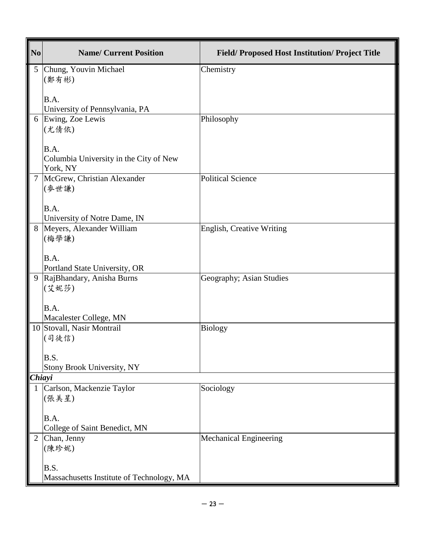| N <sub>0</sub> | <b>Name/ Current Position</b>                     | <b>Field/Proposed Host Institution/Project Title</b> |
|----------------|---------------------------------------------------|------------------------------------------------------|
| 5 <sup>5</sup> | Chung, Youvin Michael                             | Chemistry                                            |
|                | (鄭有彬)                                             |                                                      |
|                | B.A.                                              |                                                      |
|                | University of Pennsylvania, PA                    |                                                      |
|                | 6 Ewing, Zoe Lewis<br>(尤倩依)                       | Philosophy                                           |
|                |                                                   |                                                      |
|                | B.A.                                              |                                                      |
|                | Columbia University in the City of New            |                                                      |
| $\tau$         | York, NY<br>McGrew, Christian Alexander           | <b>Political Science</b>                             |
|                | (麥世謙)                                             |                                                      |
|                |                                                   |                                                      |
|                | B.A.<br>University of Notre Dame, IN              |                                                      |
|                | 8 Meyers, Alexander William                       | English, Creative Writing                            |
|                | (梅學謙)                                             |                                                      |
|                | B.A.                                              |                                                      |
|                | Portland State University, OR                     |                                                      |
|                | 9 RajBhandary, Anisha Burns                       | Geography; Asian Studies                             |
|                | (艾妮莎)                                             |                                                      |
|                | B.A.                                              |                                                      |
|                | Macalester College, MN                            |                                                      |
|                | 10 Stovall, Nasir Montrail                        | <b>Biology</b>                                       |
|                | (司徒信)                                             |                                                      |
|                | B.S.                                              |                                                      |
|                | Stony Brook University, NY                        |                                                      |
| Chiayi         | Carlson, Mackenzie Taylor                         |                                                      |
|                | (張美星)                                             | Sociology                                            |
|                |                                                   |                                                      |
|                | B.A.                                              |                                                      |
| $\overline{2}$ | College of Saint Benedict, MN<br>Chan, Jenny      | <b>Mechanical Engineering</b>                        |
|                | (陳珍妮)                                             |                                                      |
|                |                                                   |                                                      |
|                | B.S.<br>Massachusetts Institute of Technology, MA |                                                      |
|                |                                                   |                                                      |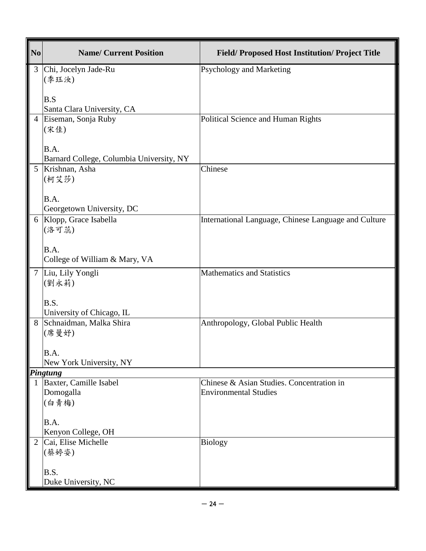| N <sub>0</sub> | <b>Name/ Current Position</b>             | <b>Field/Proposed Host Institution/Project Title</b> |
|----------------|-------------------------------------------|------------------------------------------------------|
| 3 <sup>1</sup> | Chi, Jocelyn Jade-Ru                      | Psychology and Marketing                             |
|                | (季珏汝)                                     |                                                      |
|                | B.S                                       |                                                      |
|                | Santa Clara University, CA                |                                                      |
|                | 4 Eiseman, Sonja Ruby<br>(宋佳)             | Political Science and Human Rights                   |
|                |                                           |                                                      |
|                | B.A.                                      |                                                      |
|                | Barnard College, Columbia University, NY  |                                                      |
|                | 5 Krishnan, Asha<br>(柯艾莎)                 | Chinese                                              |
|                |                                           |                                                      |
|                | B.A.                                      |                                                      |
|                | Georgetown University, DC                 |                                                      |
|                | 6 Klopp, Grace Isabella<br>(洛可蕊)          | International Language, Chinese Language and Culture |
|                |                                           |                                                      |
|                | B.A.                                      |                                                      |
|                | College of William & Mary, VA             |                                                      |
|                | 7 Liu, Lily Yongli                        | <b>Mathematics and Statistics</b>                    |
|                | (劉永莉)                                     |                                                      |
|                | B.S.                                      |                                                      |
|                | University of Chicago, IL                 |                                                      |
|                | 8 Schnaidman, Malka Shira                 | Anthropology, Global Public Health                   |
|                | (席曼妤)                                     |                                                      |
|                | B.A.                                      |                                                      |
|                | New York University, NY                   |                                                      |
|                | <b>Pingtung</b><br>Baxter, Camille Isabel | Chinese & Asian Studies. Concentration in            |
|                | Domogalla                                 | <b>Environmental Studies</b>                         |
|                | (白青梅)                                     |                                                      |
|                |                                           |                                                      |
|                | B.A.<br>Kenyon College, OH                |                                                      |
| $\overline{2}$ | Cai, Elise Michelle                       | <b>Biology</b>                                       |
|                | (蔡婷姿)                                     |                                                      |
|                |                                           |                                                      |
|                | B.S.<br>Duke University, NC               |                                                      |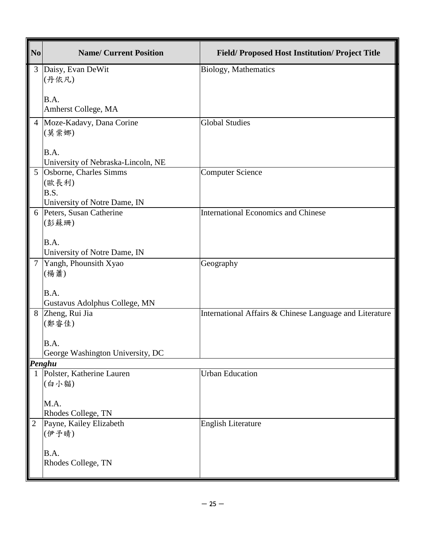| N <sub>0</sub> | <b>Name/ Current Position</b>                 | <b>Field/Proposed Host Institution/Project Title</b>    |
|----------------|-----------------------------------------------|---------------------------------------------------------|
| 3 <sup>1</sup> | Daisy, Evan DeWit                             | Biology, Mathematics                                    |
|                | (丹依凡)                                         |                                                         |
|                | B.A.                                          |                                                         |
|                | Amherst College, MA                           |                                                         |
|                | 4 Moze-Kadavy, Dana Corine                    | <b>Global Studies</b>                                   |
|                | (莫棠娜)                                         |                                                         |
|                | B.A.                                          |                                                         |
|                | University of Nebraska-Lincoln, NE            |                                                         |
| 5 <sup>5</sup> | Osborne, Charles Simms<br>(歐長利)               | <b>Computer Science</b>                                 |
|                | B.S.                                          |                                                         |
|                | University of Notre Dame, IN                  |                                                         |
|                | 6 Peters, Susan Catherine                     | <b>International Economics and Chinese</b>              |
|                | (彭蘇珊)                                         |                                                         |
|                | B.A.                                          |                                                         |
|                | University of Notre Dame, IN                  |                                                         |
| 7 <sup>1</sup> | Yangh, Phounsith Xyao<br>(楊蕭)                 | Geography                                               |
|                |                                               |                                                         |
|                | B.A.                                          |                                                         |
|                | Gustavus Adolphus College, MN                 |                                                         |
|                | 8 Zheng, Rui Jia<br>(鄭睿佳)                     | International Affairs & Chinese Language and Literature |
|                |                                               |                                                         |
|                | B.A.                                          |                                                         |
|                | George Washington University, DC              |                                                         |
|                | Penghu<br>Polster, Katherine Lauren           | <b>Urban Education</b>                                  |
|                | (白小貓)                                         |                                                         |
|                |                                               |                                                         |
|                | M.A.                                          |                                                         |
| $\overline{2}$ | Rhodes College, TN<br>Payne, Kailey Elizabeth | <b>English Literature</b>                               |
|                | (伊予晴)                                         |                                                         |
|                |                                               |                                                         |
|                | B.A.<br>Rhodes College, TN                    |                                                         |
|                |                                               |                                                         |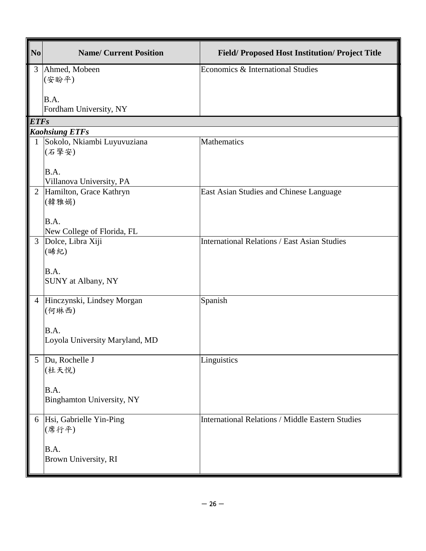| N <sub>0</sub> | <b>Name/ Current Position</b>                        | Field/ Proposed Host Institution/ Project Title         |
|----------------|------------------------------------------------------|---------------------------------------------------------|
| 3              | Ahmed, Mobeen<br>(安盼平)<br>B.A.                       | Economics & International Studies                       |
|                | Fordham University, NY                               |                                                         |
| <b>ETFs</b>    |                                                      |                                                         |
|                | <b>Kaohsiung ETFs</b><br>Sokolo, Nkiambi Luyuvuziana | <b>Mathematics</b>                                      |
|                | (石擎安)                                                |                                                         |
|                | B.A.<br>Villanova University, PA                     |                                                         |
| $\overline{2}$ | Hamilton, Grace Kathryn<br>(韓雅娟)                     | East Asian Studies and Chinese Language                 |
|                | B.A.<br>New College of Florida, FL                   |                                                         |
| 3              | Dolce, Libra Xiji<br>(晞紀)                            | <b>International Relations / East Asian Studies</b>     |
|                | B.A.<br>SUNY at Albany, NY                           |                                                         |
| $\overline{4}$ | Hinczynski, Lindsey Morgan<br>(何琳西)                  | Spanish                                                 |
|                | B.A.<br>Loyola University Maryland, MD               |                                                         |
| 5              | Du, Rochelle J<br>(杜天悦)                              | Linguistics                                             |
|                | B.A.<br>Binghamton University, NY                    |                                                         |
|                | 6 Hsi, Gabrielle Yin-Ping<br>(席行平)                   | <b>International Relations / Middle Eastern Studies</b> |
|                | B.A.<br>Brown University, RI                         |                                                         |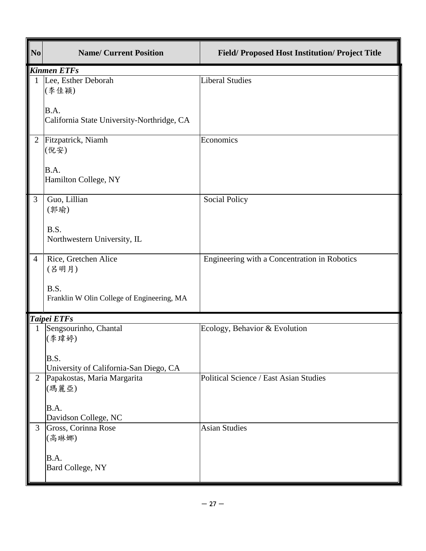| $\mathbf{N}\mathbf{o}$ | <b>Name/ Current Position</b>                      | <b>Field/Proposed Host Institution/Project Title</b> |
|------------------------|----------------------------------------------------|------------------------------------------------------|
|                        | <b>Kinmen ETFs</b>                                 |                                                      |
| $\mathbf{1}$           | Lee, Esther Deborah<br>(李佳穎)                       | <b>Liberal Studies</b>                               |
|                        | B.A.<br>California State University-Northridge, CA |                                                      |
| $\overline{2}$         | Fitzpatrick, Niamh<br>(倪安)                         | Economics                                            |
|                        | B.A.<br>Hamilton College, NY                       |                                                      |
| 3                      | Guo, Lillian<br>(郭瑜)                               | <b>Social Policy</b>                                 |
|                        | B.S.<br>Northwestern University, IL                |                                                      |
| $\overline{4}$         | Rice, Gretchen Alice<br>(吕明月)                      | Engineering with a Concentration in Robotics         |
|                        | B.S.<br>Franklin W Olin College of Engineering, MA |                                                      |
|                        | Taipei ETFs                                        |                                                      |
|                        | Sengsourinho, Chantal<br>(李瑋婷)                     | Ecology, Behavior & Evolution                        |
|                        | B.S.<br>University of California-San Diego, CA     |                                                      |
| $\overline{2}$         | Papakostas, Maria Margarita<br>(瑪麗亞)               | <b>Political Science / East Asian Studies</b>        |
|                        | B.A.<br>Davidson College, NC                       |                                                      |
| 3                      | Gross, Corinna Rose<br>(高琳娜)                       | <b>Asian Studies</b>                                 |
|                        | B.A.<br>Bard College, NY                           |                                                      |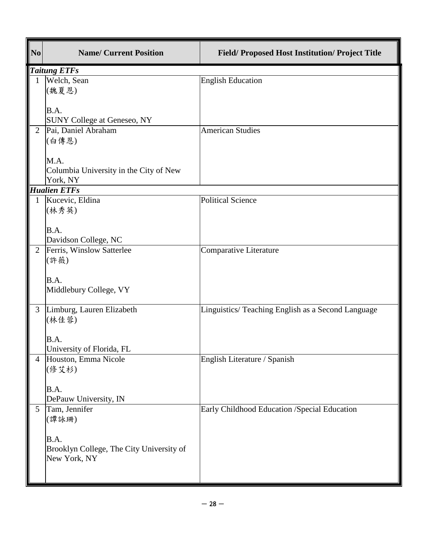| $\overline{\overline{\text{No}}}$ | <b>Name/ Current Position</b>            | Field/Proposed Host Institution/Project Title     |
|-----------------------------------|------------------------------------------|---------------------------------------------------|
|                                   | <b>Taitung ETFs</b>                      |                                                   |
|                                   | Welch, Sean                              | <b>English Education</b>                          |
|                                   | (魏夏恩)                                    |                                                   |
|                                   |                                          |                                                   |
|                                   | B.A.                                     |                                                   |
|                                   | <b>SUNY College at Geneseo, NY</b>       |                                                   |
| $\overline{2}$                    | Pai, Daniel Abraham                      | <b>American Studies</b>                           |
|                                   | (白傳恩)                                    |                                                   |
|                                   |                                          |                                                   |
|                                   | M.A.                                     |                                                   |
|                                   | Columbia University in the City of New   |                                                   |
|                                   | York, NY                                 |                                                   |
|                                   | <b>Hualien ETFs</b>                      |                                                   |
|                                   | Kucevic, Eldina                          | <b>Political Science</b>                          |
|                                   | (林秀英)                                    |                                                   |
|                                   |                                          |                                                   |
|                                   | B.A.                                     |                                                   |
|                                   | Davidson College, NC                     |                                                   |
| $\overline{2}$                    | Ferris, Winslow Satterlee                | Comparative Literature                            |
|                                   | (許薇)                                     |                                                   |
|                                   |                                          |                                                   |
|                                   | B.A.                                     |                                                   |
|                                   | Middlebury College, VY                   |                                                   |
|                                   |                                          |                                                   |
| 3                                 | Limburg, Lauren Elizabeth                | Linguistics/Teaching English as a Second Language |
|                                   | (林佳蓉)                                    |                                                   |
|                                   |                                          |                                                   |
|                                   | B.A.                                     |                                                   |
|                                   | University of Florida, FL                |                                                   |
|                                   | Houston, Emma Nicole                     | English Literature / Spanish                      |
|                                   | (修艾杉)                                    |                                                   |
|                                   |                                          |                                                   |
|                                   | B.A.                                     |                                                   |
|                                   | DePauw University, IN                    |                                                   |
| 5                                 | Tam, Jennifer                            | Early Childhood Education /Special Education      |
|                                   | (譚詠珊)                                    |                                                   |
|                                   |                                          |                                                   |
|                                   | B.A.                                     |                                                   |
|                                   | Brooklyn College, The City University of |                                                   |
|                                   | New York, NY                             |                                                   |
|                                   |                                          |                                                   |
|                                   |                                          |                                                   |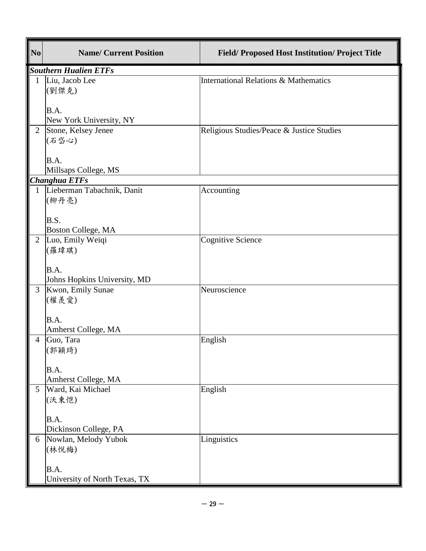| $\overline{\text{No}}$ | <b>Name/ Current Position</b>                  | <b>Field/Proposed Host Institution/Project Title</b> |
|------------------------|------------------------------------------------|------------------------------------------------------|
|                        | <b>Southern Hualien ETFs</b>                   |                                                      |
| $\mathbf{1}$           | Liu, Jacob Lee                                 | <b>International Relations &amp; Mathematics</b>     |
|                        | (劉傑克)                                          |                                                      |
|                        |                                                |                                                      |
|                        | B.A.                                           |                                                      |
| $\overline{2}$         | New York University, NY<br>Stone, Kelsey Jenee | Religious Studies/Peace & Justice Studies            |
|                        | (石岱心)                                          |                                                      |
|                        |                                                |                                                      |
|                        | B.A.                                           |                                                      |
|                        | Millsaps College, MS                           |                                                      |
|                        | Changhua ETFs                                  |                                                      |
|                        | Lieberman Tabachnik, Danit                     | Accounting                                           |
|                        | (柳丹亮)                                          |                                                      |
|                        | B.S.                                           |                                                      |
|                        | <b>Boston College, MA</b>                      |                                                      |
| $\overline{2}$         | Luo, Emily Weiqi                               | <b>Cognitive Science</b>                             |
|                        | (羅瑋琪)                                          |                                                      |
|                        |                                                |                                                      |
|                        | B.A.                                           |                                                      |
|                        | Johns Hopkins University, MD                   |                                                      |
| 3                      | Kwon, Emily Sunae                              | Neuroscience                                         |
|                        | (權羨愛)                                          |                                                      |
|                        | B.A.                                           |                                                      |
|                        | Amherst College, MA                            |                                                      |
| $\overline{4}$         | Guo, Tara                                      | English                                              |
|                        | (郭穎琦)                                          |                                                      |
|                        |                                                |                                                      |
|                        | B.A.                                           |                                                      |
| 5                      | Amherst College, MA<br>Ward, Kai Michael       | English                                              |
|                        | (沃東恺)                                          |                                                      |
|                        |                                                |                                                      |
|                        | B.A.                                           |                                                      |
|                        | Dickinson College, PA                          |                                                      |
| 6                      | Nowlan, Melody Yubok                           | Linguistics                                          |
|                        | (林悦梅)                                          |                                                      |
|                        |                                                |                                                      |
|                        | B.A.                                           |                                                      |
|                        | University of North Texas, TX                  |                                                      |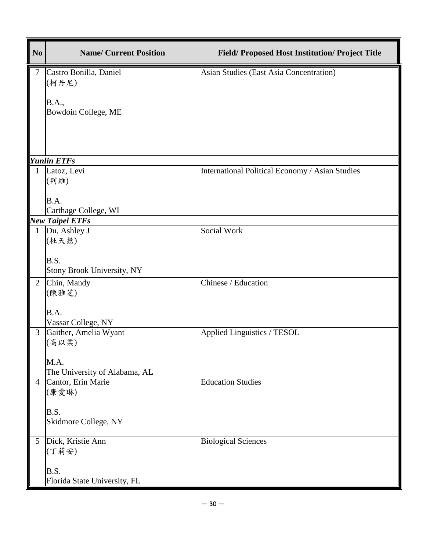| N <sub>0</sub>  | <b>Name/ Current Position</b>     | <b>Field/Proposed Host Institution/Project Title</b> |
|-----------------|-----------------------------------|------------------------------------------------------|
| $\tau$          | Castro Bonilla, Daniel            | <b>Asian Studies (East Asia Concentration)</b>       |
|                 | (柯丹尼)                             |                                                      |
|                 | <b>B.A.,</b>                      |                                                      |
|                 | Bowdoin College, ME               |                                                      |
|                 |                                   |                                                      |
|                 |                                   |                                                      |
|                 | <b>Yunlin ETFs</b>                |                                                      |
| 1               | Latoz, Levi                       | International Political Economy / Asian Studies      |
|                 | (列維)                              |                                                      |
|                 |                                   |                                                      |
|                 | B.A.                              |                                                      |
|                 | Carthage College, WI              |                                                      |
|                 | <b>New Taipei ETFs</b>            |                                                      |
| 1               | Du, Ashley J<br>(杜天慧)             | Social Work                                          |
|                 |                                   |                                                      |
|                 | <b>B.S.</b>                       |                                                      |
|                 | <b>Stony Brook University, NY</b> |                                                      |
| $\overline{2}$  | Chin, Mandy                       | Chinese / Education                                  |
|                 | (陳雅芝)                             |                                                      |
|                 |                                   |                                                      |
|                 | B.A.<br>Vassar College, NY        |                                                      |
| 3               | Gaither, Amelia Wyant             | <b>Applied Linguistics / TESOL</b>                   |
|                 | (高以柔)                             |                                                      |
|                 |                                   |                                                      |
|                 | M.A.                              |                                                      |
|                 | The University of Alabama, AL     |                                                      |
| 4               | Cantor, Erin Marie                | <b>Education Studies</b>                             |
|                 | (康愛琳)                             |                                                      |
|                 | B.S.                              |                                                      |
|                 | Skidmore College, NY              |                                                      |
|                 |                                   |                                                      |
| $5\overline{)}$ | Dick, Kristie Ann                 | <b>Biological Sciences</b>                           |
|                 | (丁莉安)                             |                                                      |
|                 | B.S.                              |                                                      |
|                 | Florida State University, FL      |                                                      |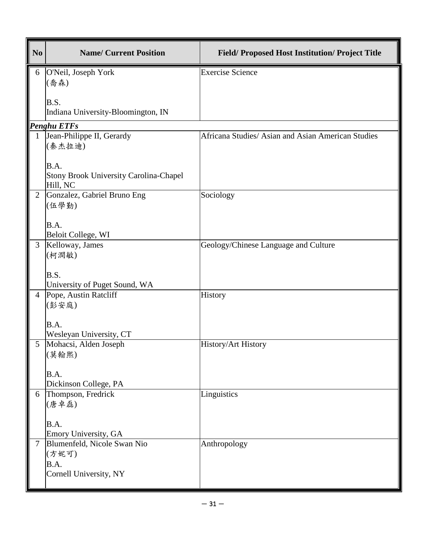| N <sub>0</sub> | <b>Name/ Current Position</b>                             | <b>Field/Proposed Host Institution/Project Title</b> |
|----------------|-----------------------------------------------------------|------------------------------------------------------|
| 6              | O'Neil, Joseph York                                       | <b>Exercise Science</b>                              |
|                | (喬森)                                                      |                                                      |
|                | <b>B.S.</b>                                               |                                                      |
|                | Indiana University-Bloomington, IN                        |                                                      |
|                | <b>Penghu ETFs</b>                                        |                                                      |
| 1              | Jean-Philippe II, Gerardy                                 | Africana Studies/ Asian and Asian American Studies   |
|                | (秦杰拉迪)                                                    |                                                      |
|                | B.A.                                                      |                                                      |
|                | <b>Stony Brook University Carolina-Chapel</b><br>Hill, NC |                                                      |
| $\overline{2}$ | Gonzalez, Gabriel Bruno Eng                               | Sociology                                            |
|                | (伍學勤)                                                     |                                                      |
|                | B.A.                                                      |                                                      |
|                | Beloit College, WI                                        |                                                      |
| 3              | Kelloway, James                                           | Geology/Chinese Language and Culture                 |
|                | (柯澗敏)                                                     |                                                      |
|                | B.S.                                                      |                                                      |
|                | University of Puget Sound, WA                             |                                                      |
| $\overline{4}$ | Pope, Austin Ratcliff                                     | History                                              |
|                | (彭安庭)                                                     |                                                      |
|                | B.A.                                                      |                                                      |
|                | Wesleyan University, CT                                   |                                                      |
| 5              | Mohacsi, Alden Joseph                                     | History/Art History                                  |
|                | (莫翰熙)                                                     |                                                      |
|                | B.A.                                                      |                                                      |
|                | Dickinson College, PA                                     |                                                      |
| 6              | Thompson, Fredrick                                        | Linguistics                                          |
|                | (唐卓磊)                                                     |                                                      |
|                | B.A.                                                      |                                                      |
|                | Emory University, GA                                      |                                                      |
| $\tau$         | Blumenfeld, Nicole Swan Nio                               | Anthropology                                         |
|                | (方妮可)<br>B.A.                                             |                                                      |
|                | Cornell University, NY                                    |                                                      |
|                |                                                           |                                                      |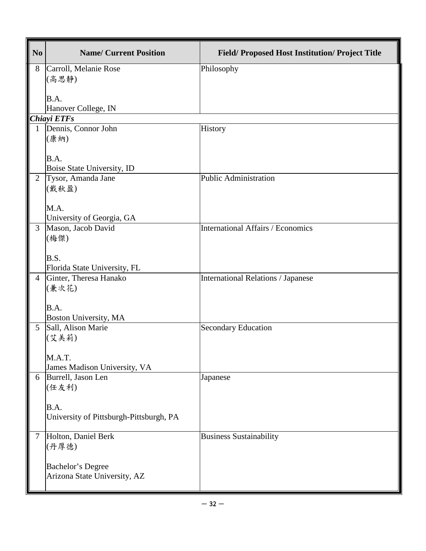| N <sub>0</sub> | <b>Name/ Current Position</b>                    | <b>Field/Proposed Host Institution/Project Title</b> |
|----------------|--------------------------------------------------|------------------------------------------------------|
| 8              | Carroll, Melanie Rose<br>(高思静)                   | Philosophy                                           |
|                | B.A.<br>Hanover College, IN                      |                                                      |
|                | Chiayi ETFs                                      |                                                      |
| 1              | Dennis, Connor John                              | History                                              |
|                | (康納)                                             |                                                      |
|                | B.A.                                             |                                                      |
| $\overline{2}$ | Boise State University, ID<br>Tysor, Amanda Jane | <b>Public Administration</b>                         |
|                | (戴秋盈)                                            |                                                      |
|                | M.A.<br>University of Georgia, GA                |                                                      |
| 3              | Mason, Jacob David                               | <b>International Affairs / Economics</b>             |
|                | (梅傑)                                             |                                                      |
|                | B.S.                                             |                                                      |
|                | Florida State University, FL                     |                                                      |
| $\overline{4}$ | Ginter, Theresa Hanako                           | <b>International Relations / Japanese</b>            |
|                | (兼次花)                                            |                                                      |
|                | B.A.                                             |                                                      |
|                | Boston University, MA                            |                                                      |
| 5              | Sall, Alison Marie                               | <b>Secondary Education</b>                           |
|                | (艾美莉)                                            |                                                      |
|                | M.A.T.                                           |                                                      |
|                | James Madison University, VA                     |                                                      |
| 6              | Burrell, Jason Len                               | Japanese                                             |
|                | (任友利)                                            |                                                      |
|                | B.A.                                             |                                                      |
|                | University of Pittsburgh-Pittsburgh, PA          |                                                      |
|                |                                                  |                                                      |
| $\tau$         | Holton, Daniel Berk                              | <b>Business Sustainability</b>                       |
|                | (丹厚德)                                            |                                                      |
|                | <b>Bachelor's Degree</b>                         |                                                      |
|                | Arizona State University, AZ                     |                                                      |
|                |                                                  |                                                      |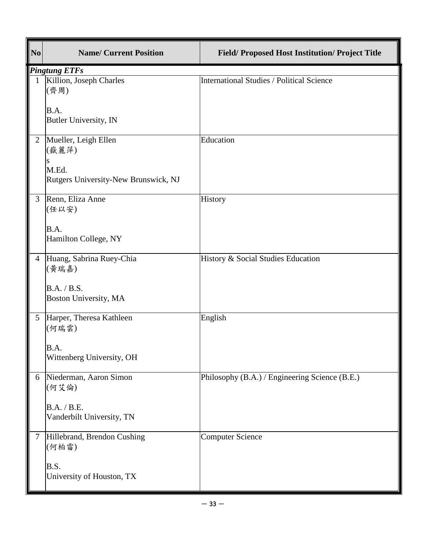| $\mathbf{N}\mathbf{o}$ | <b>Name/ Current Position</b>                 | Field/ Proposed Host Institution/ Project Title |
|------------------------|-----------------------------------------------|-------------------------------------------------|
|                        | <b>Pingtung ETFs</b>                          |                                                 |
|                        | Killion, Joseph Charles<br>(齊周)               | International Studies / Political Science       |
|                        | B.A.<br>Butler University, IN                 |                                                 |
| $\overline{2}$         | Mueller, Leigh Ellen<br>(嶽麗萍)<br>S            | Education                                       |
|                        | M.Ed.<br>Rutgers University-New Brunswick, NJ |                                                 |
| 3                      | Renn, Eliza Anne<br>(任以安)                     | History                                         |
|                        | B.A.<br>Hamilton College, NY                  |                                                 |
| $\overline{4}$         | Huang, Sabrina Ruey-Chia<br>(黃瑞嘉)             | History & Social Studies Education              |
|                        | B.A. / B.S.<br>Boston University, MA          |                                                 |
| 5                      | Harper, Theresa Kathleen<br>(何瑞雲)             | English                                         |
|                        | B.A.<br>Wittenberg University, OH             |                                                 |
| 6                      | Niederman, Aaron Simon<br>(何艾倫)               | Philosophy (B.A.) / Engineering Science (B.E.)  |
|                        | B.A. / B.E.<br>Vanderbilt University, TN      |                                                 |
| $\overline{7}$         | Hillebrand, Brendon Cushing<br>(何柏雷)          | <b>Computer Science</b>                         |
|                        | B.S.<br>University of Houston, TX             |                                                 |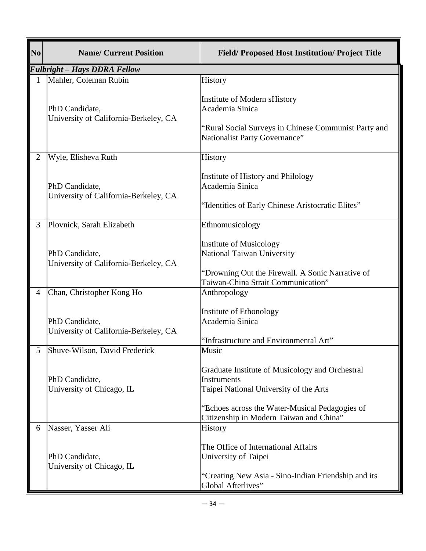| N <sub>0</sub> | <b>Name/ Current Position</b>                                                        | <b>Field/Proposed Host Institution/Project Title</b>                                                                                                              |
|----------------|--------------------------------------------------------------------------------------|-------------------------------------------------------------------------------------------------------------------------------------------------------------------|
|                | <b>Fulbright - Hays DDRA Fellow</b>                                                  |                                                                                                                                                                   |
|                | Mahler, Coleman Rubin                                                                | History                                                                                                                                                           |
|                | PhD Candidate,<br>University of California-Berkeley, CA                              | Institute of Modern sHistory<br>Academia Sinica<br>"Rural Social Surveys in Chinese Communist Party and<br>Nationalist Party Governance"                          |
|                |                                                                                      |                                                                                                                                                                   |
| 2              | Wyle, Elisheva Ruth                                                                  | History                                                                                                                                                           |
|                | PhD Candidate,<br>University of California-Berkeley, CA                              | Institute of History and Philology<br>Academia Sinica<br>"Identities of Early Chinese Aristocratic Elites"                                                        |
|                |                                                                                      |                                                                                                                                                                   |
| 3              | Plovnick, Sarah Elizabeth                                                            | Ethnomusicology                                                                                                                                                   |
|                | PhD Candidate,<br>University of California-Berkeley, CA                              | <b>Institute of Musicology</b><br>National Taiwan University<br>"Drowning Out the Firewall. A Sonic Narrative of                                                  |
|                |                                                                                      | Taiwan-China Strait Communication"                                                                                                                                |
| 4              | Chan, Christopher Kong Ho<br>PhD Candidate,<br>University of California-Berkeley, CA | Anthropology<br>Institute of Ethonology<br>Academia Sinica<br>"Infrastructure and Environmental Art"                                                              |
|                | Shuve-Wilson, David Frederick                                                        | Music                                                                                                                                                             |
|                | PhD Candidate,<br>University of Chicago, IL                                          | Graduate Institute of Musicology and Orchestral<br><b>Instruments</b><br>Taipei National University of the Arts<br>"Echoes across the Water-Musical Pedagogies of |
|                |                                                                                      | Citizenship in Modern Taiwan and China"                                                                                                                           |
| 6              | Nasser, Yasser Ali<br>PhD Candidate,<br>University of Chicago, IL                    | History<br>The Office of International Affairs<br>University of Taipei<br>"Creating New Asia - Sino-Indian Friendship and its<br>Global Afterlives"               |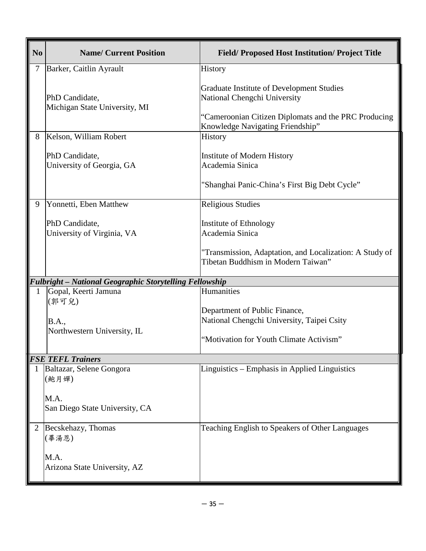| N <sub>0</sub> | <b>Name/ Current Position</b>                                  | <b>Field/Proposed Host Institution/Project Title</b>                                                                                                                  |
|----------------|----------------------------------------------------------------|-----------------------------------------------------------------------------------------------------------------------------------------------------------------------|
| $\tau$         | Barker, Caitlin Ayrault                                        | <b>History</b>                                                                                                                                                        |
|                | PhD Candidate,<br>Michigan State University, MI                | Graduate Institute of Development Studies<br>National Chengchi University<br>"Cameroonian Citizen Diplomats and the PRC Producing<br>Knowledge Navigating Friendship" |
| 8              | Kelson, William Robert                                         | History                                                                                                                                                               |
|                | PhD Candidate,<br>University of Georgia, GA                    | <b>Institute of Modern History</b><br>Academia Sinica<br>"Shanghai Panic-China's First Big Debt Cycle"                                                                |
| 9              | Yonnetti, Eben Matthew                                         | <b>Religious Studies</b>                                                                                                                                              |
|                | PhD Candidate,<br>University of Virginia, VA                   | Institute of Ethnology<br>Academia Sinica                                                                                                                             |
|                |                                                                | "Transmission, Adaptation, and Localization: A Study of<br>Tibetan Buddhism in Modern Taiwan"                                                                         |
|                | <b>Fulbright - National Geographic Storytelling Fellowship</b> |                                                                                                                                                                       |
| 1              | Gopal, Keerti Jamuna<br>(郭可兒)                                  | Humanities                                                                                                                                                            |
|                | <b>B.A.,</b><br>Northwestern University, IL                    | Department of Public Finance,<br>National Chengchi University, Taipei Csity                                                                                           |
|                |                                                                | "Motivation for Youth Climate Activism"                                                                                                                               |
|                | <b>FSE TEFL Trainers</b>                                       |                                                                                                                                                                       |
|                | Baltazar, Selene Gongora<br>(鮑月嬋)                              | Linguistics - Emphasis in Applied Linguistics                                                                                                                         |
|                | M.A.<br>San Diego State University, CA                         |                                                                                                                                                                       |
|                | Becskehazy, Thomas<br>(畢湯恩)                                    | Teaching English to Speakers of Other Languages                                                                                                                       |
|                | M.A.<br>Arizona State University, AZ                           |                                                                                                                                                                       |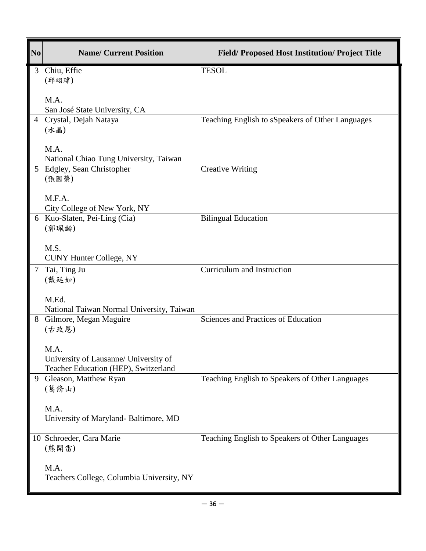| No | <b>Name/ Current Position</b>                                                    | <b>Field/Proposed Host Institution/Project Title</b> |
|----|----------------------------------------------------------------------------------|------------------------------------------------------|
| 3  | Chiu, Effie<br>(邱翊瑋)                                                             | <b>TESOL</b>                                         |
|    | M.A.<br>San José State University, CA                                            |                                                      |
|    | Crystal, Dejah Nataya<br>(水晶)                                                    | Teaching English to sSpeakers of Other Languages     |
|    | M.A.<br>National Chiao Tung University, Taiwan                                   |                                                      |
| 5  | Edgley, Sean Christopher<br>(張國榮)                                                | <b>Creative Writing</b>                              |
|    | M.F.A.<br>City College of New York, NY                                           |                                                      |
| 6  | Kuo-Slaten, Pei-Ling (Cia)<br>(郭珮齡)                                              | <b>Bilingual Education</b>                           |
|    | M.S.<br><b>CUNY Hunter College, NY</b>                                           |                                                      |
| 7  | Tai, Ting Ju<br>(戴廷如)<br>M.Ed.                                                   | Curriculum and Instruction                           |
|    | National Taiwan Normal University, Taiwan                                        |                                                      |
| 8  | Gilmore, Megan Maguire<br>(古玫恩)<br>M.A.<br>University of Lausanne/ University of | Sciences and Practices of Education                  |
| 9  | Teacher Education (HEP), Switzerland<br>Gleason, Matthew Ryan                    | Teaching English to Speakers of Other Languages      |
|    | (葛脩山)                                                                            |                                                      |
|    | M.A.<br>University of Maryland- Baltimore, MD                                    |                                                      |
| 10 | Schroeder, Cara Marie<br>(熊開雷)                                                   | Teaching English to Speakers of Other Languages      |
|    | M.A.<br>Teachers College, Columbia University, NY                                |                                                      |